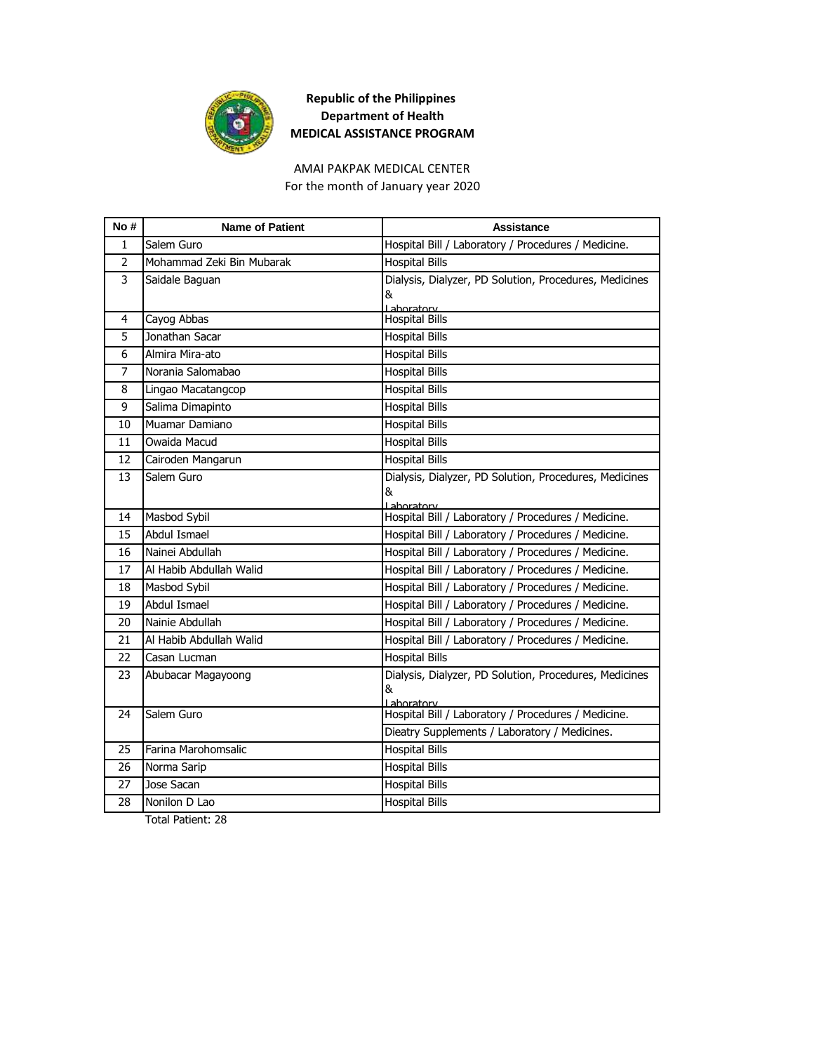

AMAI PAKPAK MEDICAL CENTER For the month of January year 2020

| No#            | <b>Name of Patient</b>    | Assistance                                                                        |
|----------------|---------------------------|-----------------------------------------------------------------------------------|
| $\mathbf{1}$   | Salem Guro                | Hospital Bill / Laboratory / Procedures / Medicine.                               |
| $\overline{2}$ | Mohammad Zeki Bin Mubarak | <b>Hospital Bills</b>                                                             |
| 3              | Saidale Baguan            | Dialysis, Dialyzer, PD Solution, Procedures, Medicines<br>&<br><u>I aboratory</u> |
| 4              | Cayog Abbas               | <b>Hospital Bills</b>                                                             |
| 5              | Jonathan Sacar            | <b>Hospital Bills</b>                                                             |
| 6              | Almira Mira-ato           | <b>Hospital Bills</b>                                                             |
| $\overline{7}$ | Norania Salomabao         | <b>Hospital Bills</b>                                                             |
| 8              | Lingao Macatangcop        | <b>Hospital Bills</b>                                                             |
| 9              | Salima Dimapinto          | <b>Hospital Bills</b>                                                             |
| 10             | Muamar Damiano            | <b>Hospital Bills</b>                                                             |
| 11             | Owaida Macud              | <b>Hospital Bills</b>                                                             |
| 12             | Cairoden Mangarun         | <b>Hospital Bills</b>                                                             |
| 13             | Salem Guro                | Dialysis, Dialyzer, PD Solution, Procedures, Medicines<br>&<br>Laboratory         |
| 14             | Masbod Sybil              | Hospital Bill / Laboratory / Procedures / Medicine.                               |
| 15             | <b>Abdul Ismael</b>       | Hospital Bill / Laboratory / Procedures / Medicine.                               |
| 16             | Nainei Abdullah           | Hospital Bill / Laboratory / Procedures / Medicine.                               |
| 17             | Al Habib Abdullah Walid   | Hospital Bill / Laboratory / Procedures / Medicine.                               |
| 18             | Masbod Sybil              | Hospital Bill / Laboratory / Procedures / Medicine.                               |
| 19             | Abdul Ismael              | Hospital Bill / Laboratory / Procedures / Medicine.                               |
| 20             | Nainie Abdullah           | Hospital Bill / Laboratory / Procedures / Medicine.                               |
| 21             | Al Habib Abdullah Walid   | Hospital Bill / Laboratory / Procedures / Medicine.                               |
| 22             | Casan Lucman              | <b>Hospital Bills</b>                                                             |
| 23             | Abubacar Magayoong        | Dialysis, Dialyzer, PD Solution, Procedures, Medicines<br>&<br>Laboratory         |
| 24             | Salem Guro                | Hospital Bill / Laboratory / Procedures / Medicine.                               |
|                |                           | Dieatry Supplements / Laboratory / Medicines.                                     |
| 25             | Farina Marohomsalic       | <b>Hospital Bills</b>                                                             |
| 26             | Norma Sarip               | <b>Hospital Bills</b>                                                             |
| 27             | Jose Sacan                | <b>Hospital Bills</b>                                                             |
| 28             | Nonilon D Lao             | <b>Hospital Bills</b>                                                             |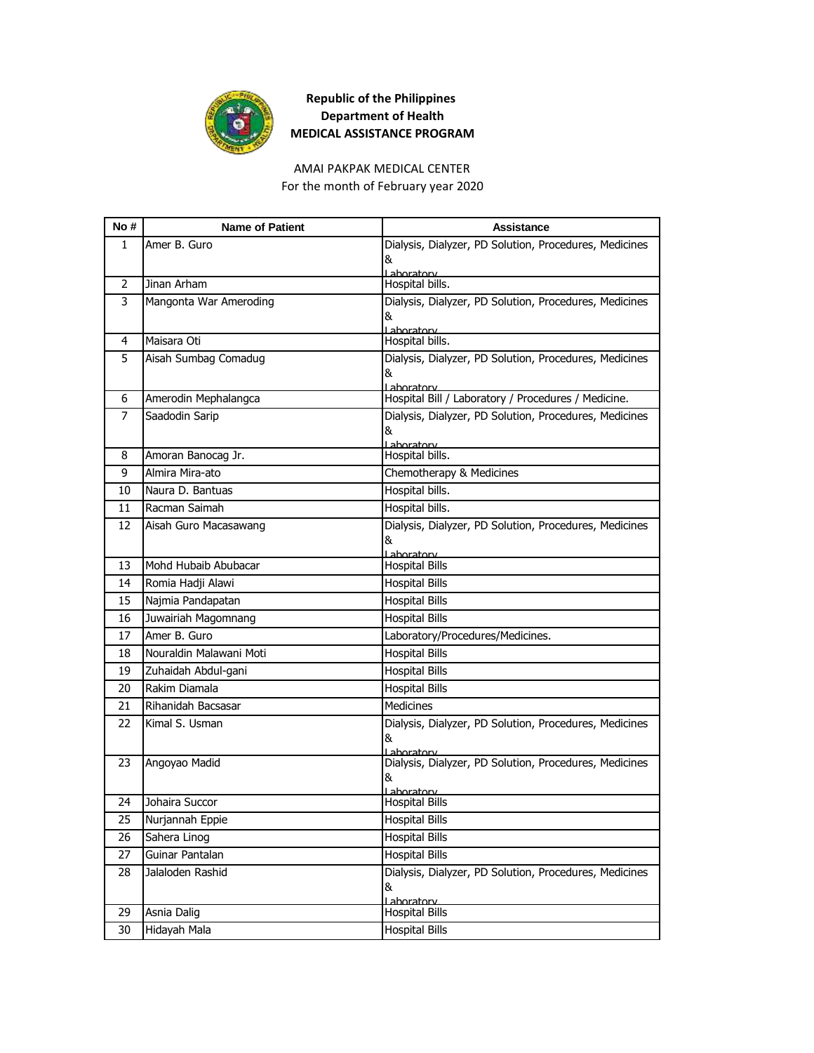

AMAI PAKPAK MEDICAL CENTER

For the month of February year 2020

| No #         | <b>Name of Patient</b>  | <b>Assistance</b>                                                    |
|--------------|-------------------------|----------------------------------------------------------------------|
| $\mathbf{1}$ | Amer B. Guro            | Dialysis, Dialyzer, PD Solution, Procedures, Medicines               |
|              |                         | &                                                                    |
| 2            | Jinan Arham             | Laboratory<br>Hospital bills.                                        |
| 3            | Mangonta War Ameroding  | Dialysis, Dialyzer, PD Solution, Procedures, Medicines               |
|              |                         | &                                                                    |
|              |                         | Laboratory                                                           |
| 4            | Maisara Oti             | Hospital bills.                                                      |
| 5            | Aisah Sumbag Comadug    | Dialysis, Dialyzer, PD Solution, Procedures, Medicines               |
|              |                         | &<br>Laboratory                                                      |
| 6            | Amerodin Mephalangca    | Hospital Bill / Laboratory / Procedures / Medicine.                  |
| 7            | Saadodin Sarip          | Dialysis, Dialyzer, PD Solution, Procedures, Medicines               |
|              |                         | &                                                                    |
| 8            | Amoran Banocag Jr.      | Lahoratory<br>Hospital bills.                                        |
| 9            | Almira Mira-ato         | Chemotherapy & Medicines                                             |
| 10           | Naura D. Bantuas        | Hospital bills.                                                      |
| 11           | Racman Saimah           | Hospital bills.                                                      |
| 12           | Aisah Guro Macasawang   | Dialysis, Dialyzer, PD Solution, Procedures, Medicines               |
|              |                         | &                                                                    |
| 13           | Mohd Hubaib Abubacar    | Lahoratory<br><b>Hospital Bills</b>                                  |
| 14           | Romia Hadji Alawi       | <b>Hospital Bills</b>                                                |
| 15           | Najmia Pandapatan       | <b>Hospital Bills</b>                                                |
| 16           | Juwairiah Magomnang     | <b>Hospital Bills</b>                                                |
| 17           | Amer B. Guro            | Laboratory/Procedures/Medicines.                                     |
| 18           | Nouraldin Malawani Moti | <b>Hospital Bills</b>                                                |
| 19           | Zuhaidah Abdul-gani     | <b>Hospital Bills</b>                                                |
| 20           | Rakim Diamala           | <b>Hospital Bills</b>                                                |
| 21           | Rihanidah Bacsasar      | <b>Medicines</b>                                                     |
| 22           | Kimal S. Usman          | Dialysis, Dialyzer, PD Solution, Procedures, Medicines               |
|              |                         | &                                                                    |
| 23           | Angoyao Madid           | Laboratory<br>Dialysis, Dialyzer, PD Solution, Procedures, Medicines |
|              |                         | &                                                                    |
|              |                         | Laboratory                                                           |
| 24           | Johaira Succor          | <b>Hospital Bills</b>                                                |
| 25           | Nurjannah Eppie         | <b>Hospital Bills</b>                                                |
| 26           | Sahera Linog            | <b>Hospital Bills</b>                                                |
| 27           | Guinar Pantalan         | <b>Hospital Bills</b>                                                |
| 28           | Jalaloden Rashid        | Dialysis, Dialyzer, PD Solution, Procedures, Medicines               |
|              |                         | &<br>Laboratory                                                      |
| 29           | Asnia Dalig             | <b>Hospital Bills</b>                                                |
| 30           | Hidayah Mala            | <b>Hospital Bills</b>                                                |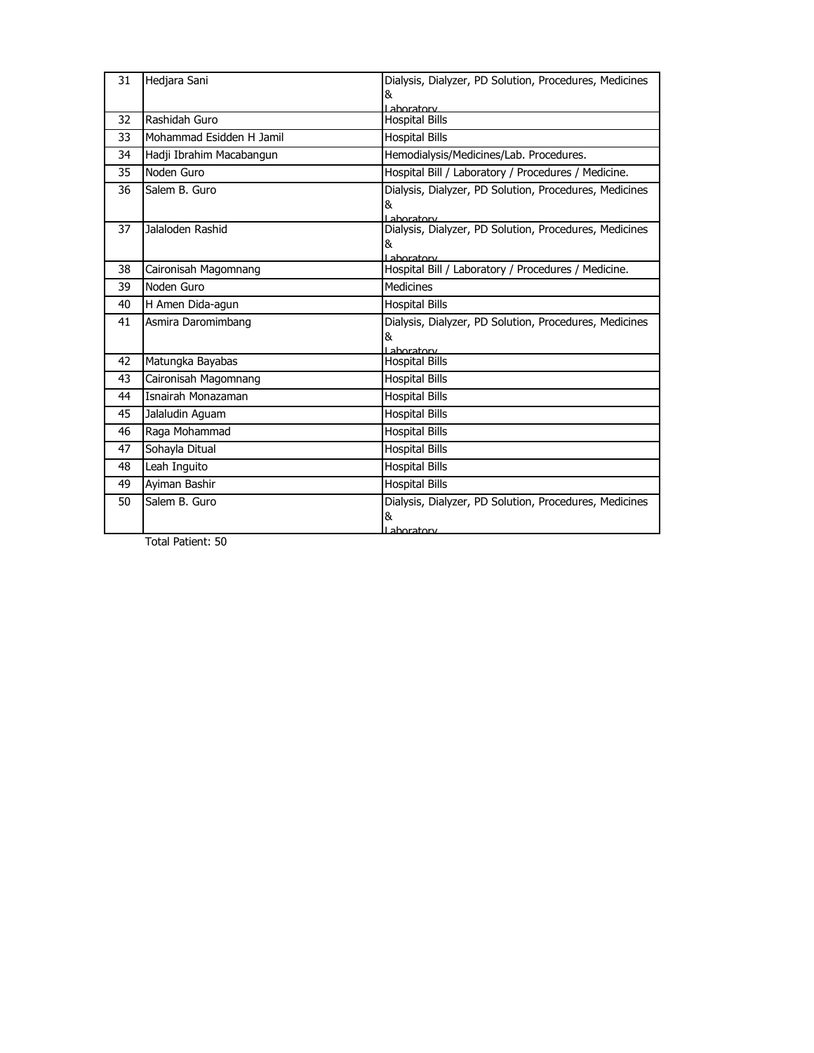| 31 | Hedjara Sani             | Dialysis, Dialyzer, PD Solution, Procedures, Medicines<br>&               |
|----|--------------------------|---------------------------------------------------------------------------|
| 32 | Rashidah Guro            | Laboratory<br><b>Hospital Bills</b>                                       |
| 33 | Mohammad Esidden H Jamil | <b>Hospital Bills</b>                                                     |
| 34 | Hadji Ibrahim Macabangun | Hemodialysis/Medicines/Lab. Procedures.                                   |
| 35 | Noden Guro               | Hospital Bill / Laboratory / Procedures / Medicine.                       |
| 36 | Salem B. Guro            | Dialysis, Dialyzer, PD Solution, Procedures, Medicines<br>&<br>Laboratory |
| 37 | Jalaloden Rashid         | Dialysis, Dialyzer, PD Solution, Procedures, Medicines<br>&<br>Laboratory |
| 38 | Caironisah Magomnang     | Hospital Bill / Laboratory / Procedures / Medicine.                       |
| 39 | Noden Guro               | <b>Medicines</b>                                                          |
| 40 | H Amen Dida-agun         | <b>Hospital Bills</b>                                                     |
| 41 | Asmira Daromimbang       | Dialysis, Dialyzer, PD Solution, Procedures, Medicines<br>&<br>Laboratory |
| 42 | Matungka Bayabas         | <b>Hospital Bills</b>                                                     |
| 43 | Caironisah Magomnang     | <b>Hospital Bills</b>                                                     |
| 44 | Isnairah Monazaman       | <b>Hospital Bills</b>                                                     |
| 45 | Jalaludin Aquam          | <b>Hospital Bills</b>                                                     |
| 46 | Raga Mohammad            | <b>Hospital Bills</b>                                                     |
| 47 | Sohayla Ditual           | <b>Hospital Bills</b>                                                     |
| 48 | Leah Inguito             | <b>Hospital Bills</b>                                                     |
| 49 | Ayiman Bashir            | <b>Hospital Bills</b>                                                     |
| 50 | Salem B. Guro            | Dialysis, Dialyzer, PD Solution, Procedures, Medicines<br>&<br>ahoratory  |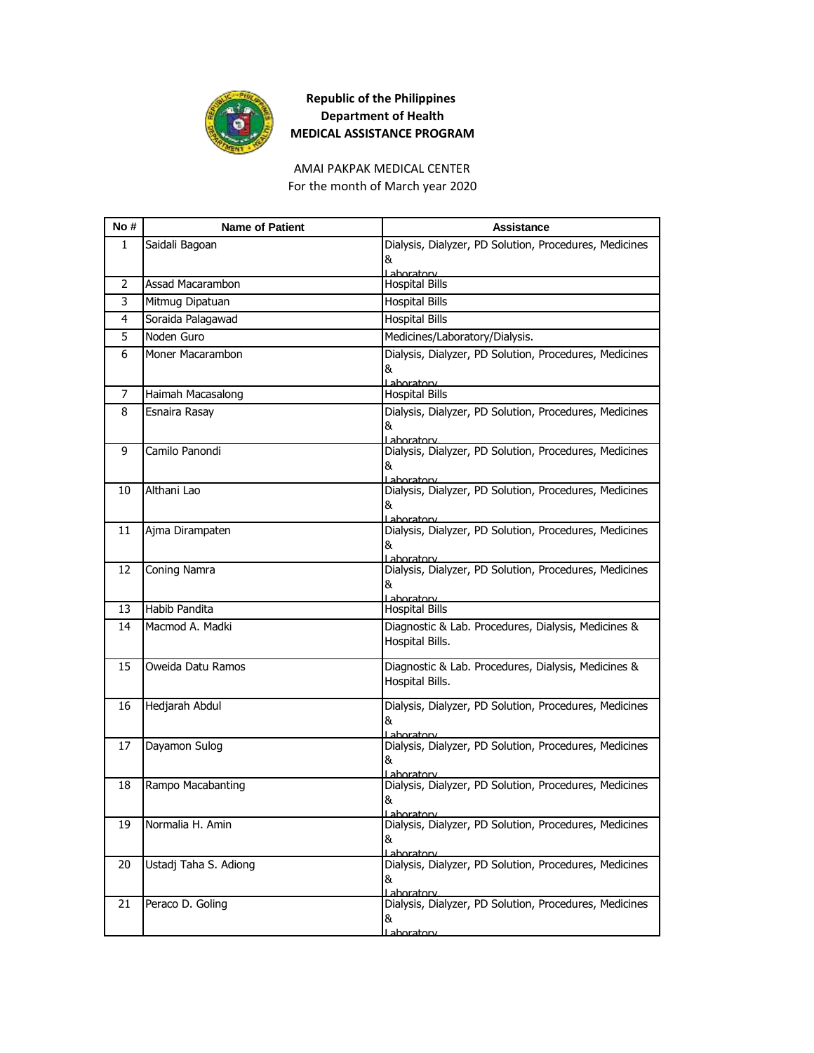

AMAI PAKPAK MEDICAL CENTER For the month of March year 2020

| No# | <b>Name of Patient</b> | Assistance                                                             |
|-----|------------------------|------------------------------------------------------------------------|
| 1   | Saidali Bagoan         | Dialysis, Dialyzer, PD Solution, Procedures, Medicines                 |
|     |                        | &                                                                      |
| 2   | Assad Macarambon       | Laboratory<br><b>Hospital Bills</b>                                    |
| 3   | Mitmug Dipatuan        | <b>Hospital Bills</b>                                                  |
| 4   | Soraida Palagawad      | <b>Hospital Bills</b>                                                  |
| 5   | Noden Guro             | Medicines/Laboratory/Dialysis.                                         |
| 6   | Moner Macarambon       | Dialysis, Dialyzer, PD Solution, Procedures, Medicines                 |
|     |                        | &                                                                      |
| 7   | Haimah Macasalong      | ahoratory<br><b>Hospital Bills</b>                                     |
| 8   | Esnaira Rasay          | Dialysis, Dialyzer, PD Solution, Procedures, Medicines                 |
|     |                        | &                                                                      |
|     |                        | Laboratory                                                             |
| 9   | Camilo Panondi         | Dialysis, Dialyzer, PD Solution, Procedures, Medicines<br>&            |
|     |                        | Laboratory                                                             |
| 10  | Althani Lao            | Dialysis, Dialyzer, PD Solution, Procedures, Medicines                 |
|     |                        | &<br>Laboratory                                                        |
| 11  | Ajma Dirampaten        | Dialysis, Dialyzer, PD Solution, Procedures, Medicines                 |
|     |                        | &                                                                      |
| 12  | Coning Namra           | Laboratory<br>Dialysis, Dialyzer, PD Solution, Procedures, Medicines   |
|     |                        | &                                                                      |
|     |                        | Laboratory                                                             |
| 13  | Habib Pandita          | <b>Hospital Bills</b>                                                  |
| 14  | Macmod A. Madki        | Diagnostic & Lab. Procedures, Dialysis, Medicines &<br>Hospital Bills. |
|     |                        |                                                                        |
| 15  | Oweida Datu Ramos      | Diagnostic & Lab. Procedures, Dialysis, Medicines &                    |
|     |                        | Hospital Bills.                                                        |
| 16  | Hedjarah Abdul         | Dialysis, Dialyzer, PD Solution, Procedures, Medicines                 |
|     |                        | &                                                                      |
| 17  | Dayamon Sulog          | Laboratory<br>Dialysis, Dialyzer, PD Solution, Procedures, Medicines   |
|     |                        | &                                                                      |
| 18  |                        | Laboratory<br>Dialysis, Dialyzer, PD Solution, Procedures, Medicines   |
|     | Rampo Macabanting      | &                                                                      |
|     |                        | Laboratory                                                             |
| 19  | Normalia H. Amin       | Dialysis, Dialyzer, PD Solution, Procedures, Medicines                 |
|     |                        | &<br>Lahoratory                                                        |
| 20  | Ustadj Taha S. Adiong  | Dialysis, Dialyzer, PD Solution, Procedures, Medicines                 |
|     |                        | &                                                                      |
| 21  | Peraco D. Goling       | Lahoratorv<br>Dialysis, Dialyzer, PD Solution, Procedures, Medicines   |
|     |                        | &                                                                      |
|     |                        | <u>l ahoratorv</u>                                                     |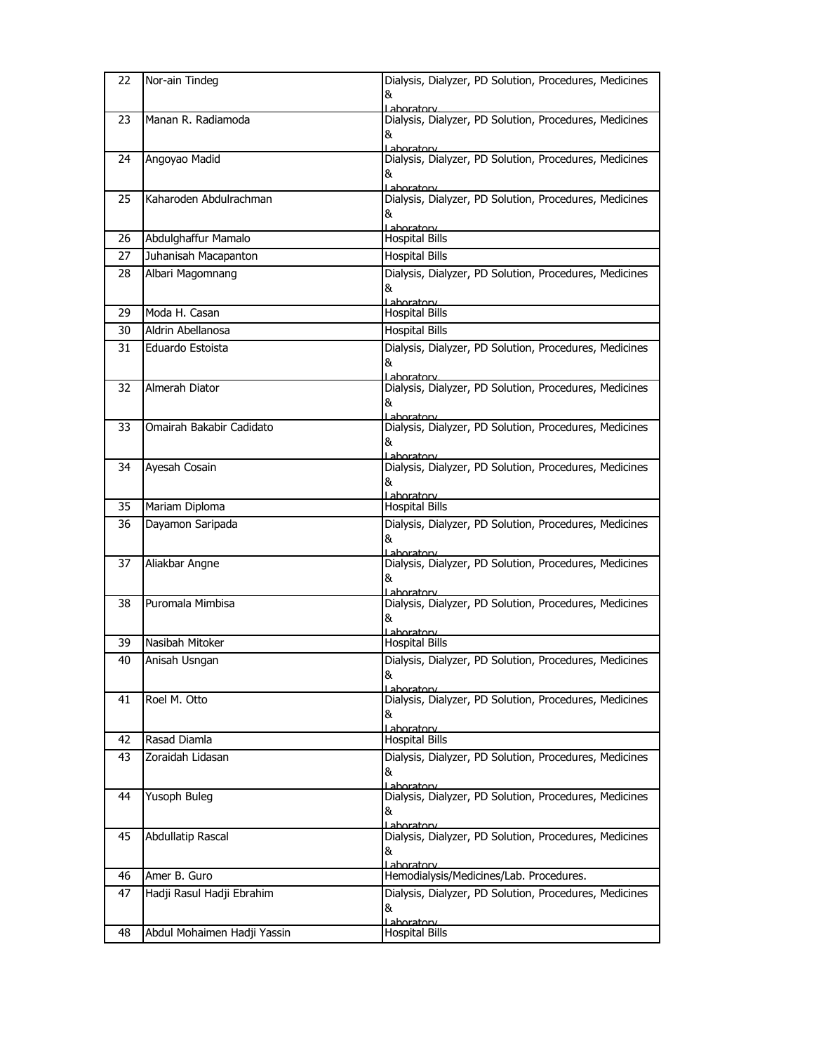| 22 | Nor-ain Tindeg              | Dialysis, Dialyzer, PD Solution, Procedures, Medicines<br>&<br>Laboratory          |
|----|-----------------------------|------------------------------------------------------------------------------------|
| 23 | Manan R. Radiamoda          | Dialysis, Dialyzer, PD Solution, Procedures, Medicines<br>&<br><u>l ahoratory </u> |
| 24 | Angoyao Madid               | Dialysis, Dialyzer, PD Solution, Procedures, Medicines<br>&<br>Laboratory          |
| 25 | Kaharoden Abdulrachman      | Dialysis, Dialyzer, PD Solution, Procedures, Medicines<br>&<br>Laboratory          |
| 26 | Abdulghaffur Mamalo         | <b>Hospital Bills</b>                                                              |
| 27 | Juhanisah Macapanton        | <b>Hospital Bills</b>                                                              |
| 28 | Albari Magomnang            | Dialysis, Dialyzer, PD Solution, Procedures, Medicines<br>&<br>Laboratory          |
| 29 | Moda H. Casan               | Hospital Bills                                                                     |
| 30 | Aldrin Abellanosa           | <b>Hospital Bills</b>                                                              |
| 31 | Eduardo Estoista            | Dialysis, Dialyzer, PD Solution, Procedures, Medicines<br>&<br>Laboratory          |
| 32 | Almerah Diator              | Dialysis, Dialyzer, PD Solution, Procedures, Medicines<br>&<br><u>l aboratory</u>  |
| 33 | Omairah Bakabir Cadidato    | Dialysis, Dialyzer, PD Solution, Procedures, Medicines<br>&<br><u>l aboratorv</u>  |
| 34 | Ayesah Cosain               | Dialysis, Dialyzer, PD Solution, Procedures, Medicines<br>&<br>Laboratory          |
| 35 | Mariam Diploma              | <b>Hospital Bills</b>                                                              |
| 36 | Dayamon Saripada            | Dialysis, Dialyzer, PD Solution, Procedures, Medicines<br>&<br>Laboratory          |
| 37 | Aliakbar Angne              | Dialysis, Dialyzer, PD Solution, Procedures, Medicines<br>&<br>Lahoratory          |
| 38 | Puromala Mimbisa            | Dialysis, Dialyzer, PD Solution, Procedures, Medicines<br>&<br>Laboratory          |
| 39 | Nasibah Mitoker             | <b>Hospital Bills</b>                                                              |
| 40 | Anisah Usngan               | Dialysis, Dialyzer, PD Solution, Procedures, Medicines<br>&<br>Laboratory          |
| 41 | Roel M. Otto                | Dialysis, Dialyzer, PD Solution, Procedures, Medicines<br>&<br>Lahoratory          |
| 42 | Rasad Diamla                | <b>Hospital Bills</b>                                                              |
| 43 | Zoraidah Lidasan            | Dialysis, Dialyzer, PD Solution, Procedures, Medicines<br>&<br>Laboratory          |
| 44 | Yusoph Buleg                | Dialysis, Dialyzer, PD Solution, Procedures, Medicines<br>&<br>Laboratory          |
| 45 | Abdullatip Rascal           | Dialysis, Dialyzer, PD Solution, Procedures, Medicines<br>&<br>Laboratory          |
| 46 | Amer B. Guro                | Hemodialysis/Medicines/Lab. Procedures.                                            |
| 47 | Hadji Rasul Hadji Ebrahim   | Dialysis, Dialyzer, PD Solution, Procedures, Medicines<br>&<br>Laboratory          |
| 48 | Abdul Mohaimen Hadji Yassin | <b>Hospital Bills</b>                                                              |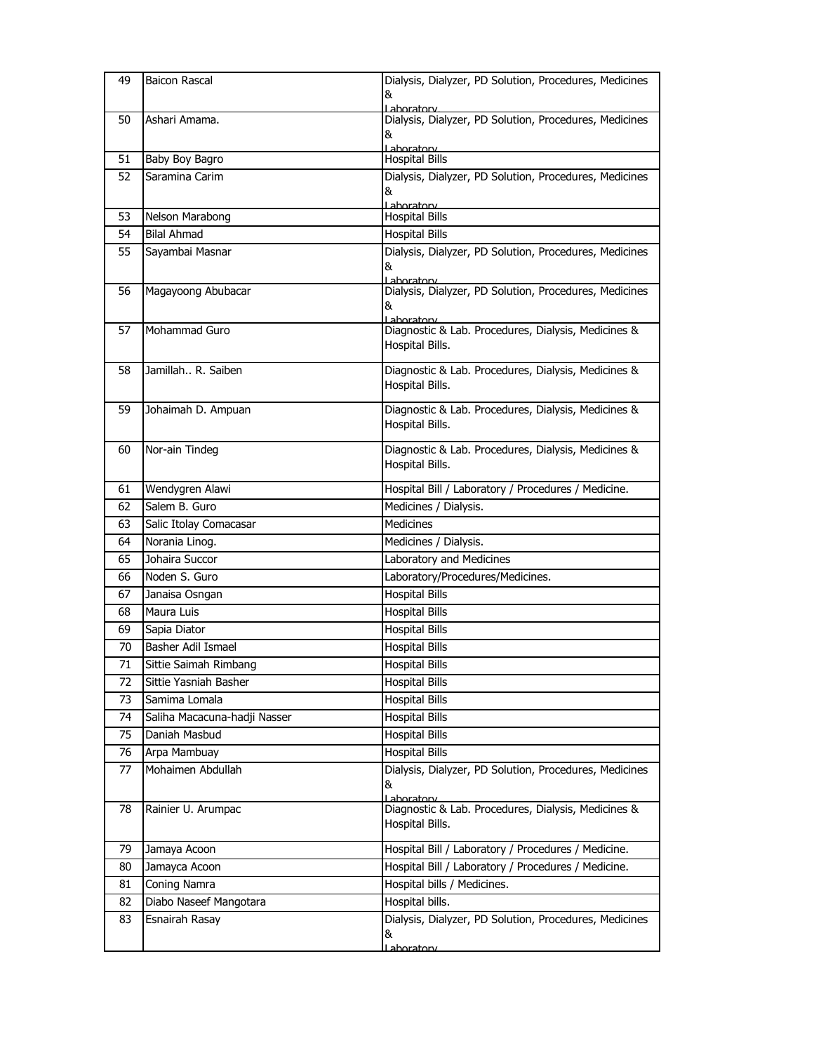| 49 | <b>Baicon Rascal</b>         | Dialysis, Dialyzer, PD Solution, Procedures, Medicines<br>&<br>ahoratory  |
|----|------------------------------|---------------------------------------------------------------------------|
| 50 | Ashari Amama.                | Dialysis, Dialyzer, PD Solution, Procedures, Medicines<br>&<br>Laboratory |
| 51 | Baby Boy Bagro               | <b>Hospital Bills</b>                                                     |
| 52 | Saramina Carim               | Dialysis, Dialyzer, PD Solution, Procedures, Medicines<br>&<br>Lahoratory |
| 53 | Nelson Marabong              | <b>Hospital Bills</b>                                                     |
| 54 | <b>Bilal Ahmad</b>           | <b>Hospital Bills</b>                                                     |
| 55 | Sayambai Masnar              | Dialysis, Dialyzer, PD Solution, Procedures, Medicines<br>&<br>aboratory  |
| 56 | Magayoong Abubacar           | Dialysis, Dialyzer, PD Solution, Procedures, Medicines<br>&<br>Laboratory |
| 57 | Mohammad Guro                | Diagnostic & Lab. Procedures, Dialysis, Medicines &<br>Hospital Bills.    |
| 58 | Jamillah R. Saiben           | Diagnostic & Lab. Procedures, Dialysis, Medicines &<br>Hospital Bills.    |
| 59 | Johaimah D. Ampuan           | Diagnostic & Lab. Procedures, Dialysis, Medicines &<br>Hospital Bills.    |
| 60 | Nor-ain Tindeg               | Diagnostic & Lab. Procedures, Dialysis, Medicines &<br>Hospital Bills.    |
| 61 | Wendygren Alawi              | Hospital Bill / Laboratory / Procedures / Medicine.                       |
| 62 | Salem B. Guro                | Medicines / Dialysis.                                                     |
| 63 | Salic Itolay Comacasar       | <b>Medicines</b>                                                          |
| 64 | Norania Linog.               | Medicines / Dialysis.                                                     |
| 65 | Johaira Succor               | Laboratory and Medicines                                                  |
| 66 | Noden S. Guro                | Laboratory/Procedures/Medicines.                                          |
| 67 | Janaisa Osngan               | <b>Hospital Bills</b>                                                     |
| 68 | Maura Luis                   | <b>Hospital Bills</b>                                                     |
| 69 | Sapia Diator                 | <b>Hospital Bills</b>                                                     |
| 70 | Basher Adil Ismael           | <b>Hospital Bills</b>                                                     |
| 71 | Sittie Saimah Rimbang        | <b>Hospital Bills</b>                                                     |
| 72 | Sittie Yasniah Basher        | <b>Hospital Bills</b>                                                     |
| 73 | Samima Lomala                | <b>Hospital Bills</b>                                                     |
| 74 | Saliha Macacuna-hadji Nasser | <b>Hospital Bills</b>                                                     |
| 75 | Daniah Masbud                | <b>Hospital Bills</b>                                                     |
| 76 | Arpa Mambuay                 | <b>Hospital Bills</b>                                                     |
| 77 | Mohaimen Abdullah            | Dialysis, Dialyzer, PD Solution, Procedures, Medicines<br>&<br>Lahoratory |
| 78 | Rainier U. Arumpac           | Diagnostic & Lab. Procedures, Dialysis, Medicines &<br>Hospital Bills.    |
| 79 | Jamaya Acoon                 | Hospital Bill / Laboratory / Procedures / Medicine.                       |
| 80 | Jamayca Acoon                | Hospital Bill / Laboratory / Procedures / Medicine.                       |
| 81 | Coning Namra                 | Hospital bills / Medicines.                                               |
| 82 | Diabo Naseef Mangotara       | Hospital bills.                                                           |
| 83 | Esnairah Rasay               | Dialysis, Dialyzer, PD Solution, Procedures, Medicines<br>&               |
|    |                              | <u>Laboratory</u>                                                         |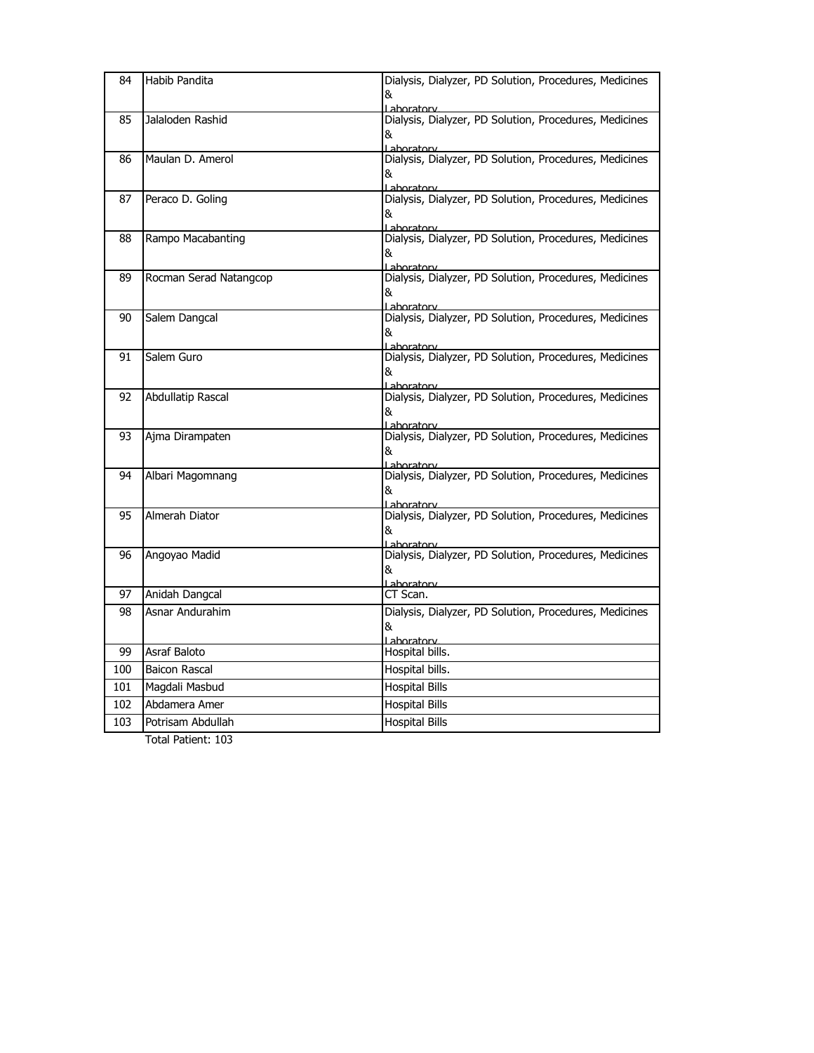| 84  | Habib Pandita            | Dialysis, Dialyzer, PD Solution, Procedures, Medicines<br>&<br>ahoratory          |
|-----|--------------------------|-----------------------------------------------------------------------------------|
| 85  | Jalaloden Rashid         | Dialysis, Dialyzer, PD Solution, Procedures, Medicines<br>&<br>Laboratory         |
| 86  | Maulan D. Amerol         | Dialysis, Dialyzer, PD Solution, Procedures, Medicines<br>&<br><u>l aboratory</u> |
| 87  | Peraco D. Goling         | Dialysis, Dialyzer, PD Solution, Procedures, Medicines<br>&<br>Laboratory         |
| 88  | Rampo Macabanting        | Dialysis, Dialyzer, PD Solution, Procedures, Medicines<br>&<br>aboratory          |
| 89  | Rocman Serad Natangcop   | Dialysis, Dialyzer, PD Solution, Procedures, Medicines<br>&<br>Laboratory         |
| 90  | Salem Dangcal            | Dialysis, Dialyzer, PD Solution, Procedures, Medicines<br>&<br>Laboratory         |
| 91  | Salem Guro               | Dialysis, Dialyzer, PD Solution, Procedures, Medicines<br>&<br>Laboratory         |
| 92  | <b>Abdullatip Rascal</b> | Dialysis, Dialyzer, PD Solution, Procedures, Medicines<br>&<br>Laboratory         |
| 93  | Ajma Dirampaten          | Dialysis, Dialyzer, PD Solution, Procedures, Medicines<br>&<br>Laboratory         |
| 94  | Albari Magomnang         | Dialysis, Dialyzer, PD Solution, Procedures, Medicines<br>&<br>Laboratory         |
| 95  | Almerah Diator           | Dialysis, Dialyzer, PD Solution, Procedures, Medicines<br>&<br>Laboratory         |
| 96  | Angoyao Madid            | Dialysis, Dialyzer, PD Solution, Procedures, Medicines<br>&<br>Laboratory         |
| 97  | Anidah Dangcal           | CT Scan.                                                                          |
| 98  | Asnar Andurahim          | Dialysis, Dialyzer, PD Solution, Procedures, Medicines<br>&<br>Laboratory         |
| 99  | Asraf Baloto             | Hospital bills.                                                                   |
| 100 | <b>Baicon Rascal</b>     | Hospital bills.                                                                   |
| 101 | Magdali Masbud           | <b>Hospital Bills</b>                                                             |
| 102 | Abdamera Amer            | <b>Hospital Bills</b>                                                             |
| 103 | Potrisam Abdullah        | <b>Hospital Bills</b>                                                             |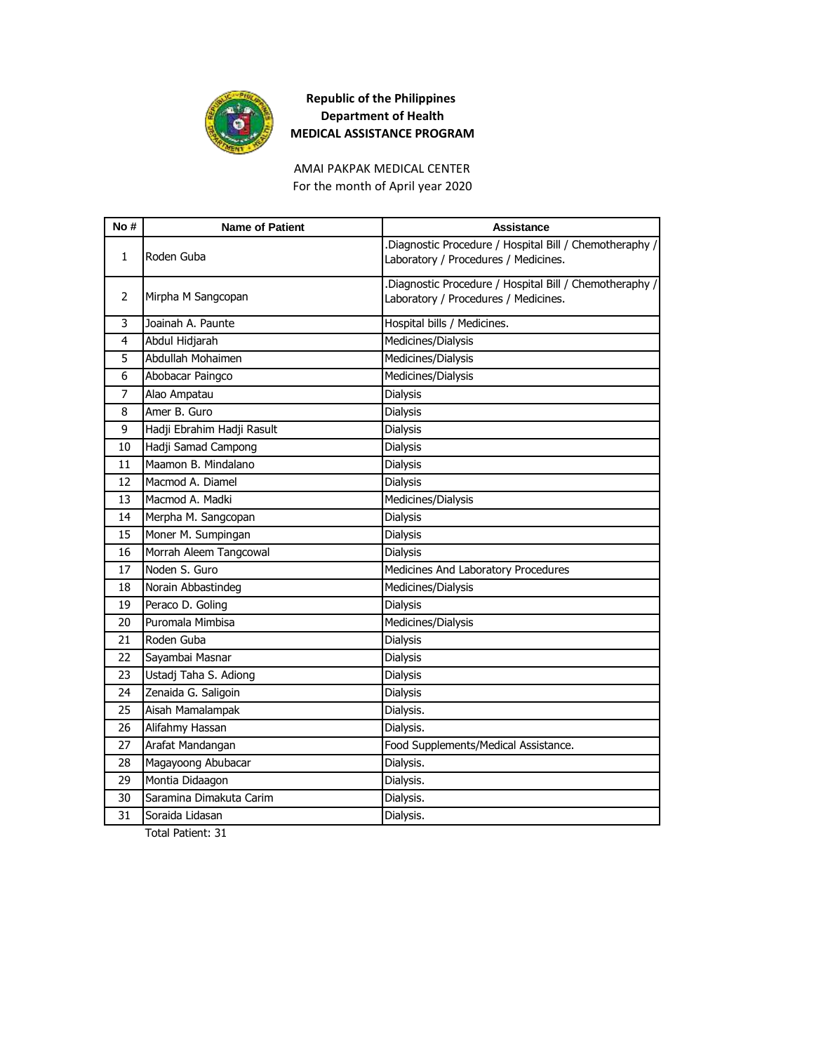

AMAI PAKPAK MEDICAL CENTER For the month of April year 2020

| No#          | <b>Name of Patient</b>     | <b>Assistance</b>                                                                              |
|--------------|----------------------------|------------------------------------------------------------------------------------------------|
| $\mathbf{1}$ | Roden Guba                 | Diagnostic Procedure / Hospital Bill / Chemotheraphy /<br>Laboratory / Procedures / Medicines. |
| 2            | Mirpha M Sangcopan         | Diagnostic Procedure / Hospital Bill / Chemotheraphy /<br>Laboratory / Procedures / Medicines. |
| 3            | Joainah A. Paunte          | Hospital bills / Medicines.                                                                    |
| 4            | Abdul Hidjarah             | Medicines/Dialysis                                                                             |
| 5            | Abdullah Mohaimen          | Medicines/Dialysis                                                                             |
| 6            | Abobacar Paingco           | Medicines/Dialysis                                                                             |
| 7            | Alao Ampatau               | Dialysis                                                                                       |
| 8            | Amer B. Guro               | <b>Dialysis</b>                                                                                |
| 9            | Hadji Ebrahim Hadji Rasult | Dialysis                                                                                       |
| 10           | Hadji Samad Campong        | Dialysis                                                                                       |
| 11           | Maamon B. Mindalano        | <b>Dialysis</b>                                                                                |
| 12           | Macmod A. Diamel           | Dialysis                                                                                       |
| 13           | Macmod A. Madki            | Medicines/Dialysis                                                                             |
| 14           | Merpha M. Sangcopan        | Dialysis                                                                                       |
| 15           | Moner M. Sumpingan         | Dialysis                                                                                       |
| 16           | Morrah Aleem Tangcowal     | <b>Dialysis</b>                                                                                |
| 17           | Noden S. Guro              | Medicines And Laboratory Procedures                                                            |
| 18           | Norain Abbastindeg         | Medicines/Dialysis                                                                             |
| 19           | Peraco D. Goling           | Dialysis                                                                                       |
| 20           | Puromala Mimbisa           | Medicines/Dialysis                                                                             |
| 21           | Roden Guba                 | <b>Dialysis</b>                                                                                |
| 22           | Sayambai Masnar            | Dialysis                                                                                       |
| 23           | Ustadj Taha S. Adiong      | Dialysis                                                                                       |
| 24           | Zenaida G. Saligoin        | <b>Dialysis</b>                                                                                |
| 25           | Aisah Mamalampak           | Dialysis.                                                                                      |
| 26           | Alifahmy Hassan            | Dialysis.                                                                                      |
| 27           | Arafat Mandangan           | Food Supplements/Medical Assistance.                                                           |
| 28           | Magayoong Abubacar         | Dialysis.                                                                                      |
| 29           | Montia Didaagon            | Dialysis.                                                                                      |
| 30           | Saramina Dimakuta Carim    | Dialysis.                                                                                      |
| 31           | Soraida Lidasan            | Dialysis.                                                                                      |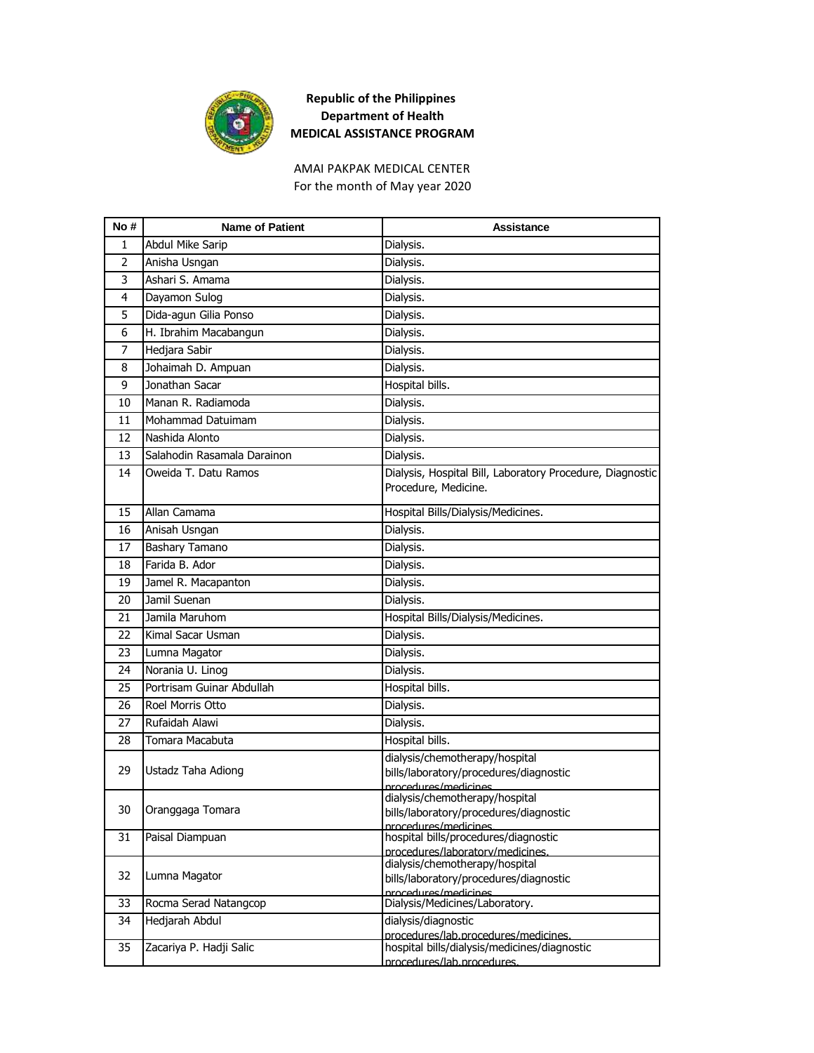

For the month of May year 2020 AMAI PAKPAK MEDICAL CENTER

| No# | <b>Name of Patient</b>      | <b>Assistance</b>                                                                                                                    |
|-----|-----------------------------|--------------------------------------------------------------------------------------------------------------------------------------|
| 1   | Abdul Mike Sarip            | Dialysis.                                                                                                                            |
| 2   | Anisha Usngan               | Dialysis.                                                                                                                            |
| 3   | Ashari S. Amama             | Dialysis.                                                                                                                            |
| 4   | Dayamon Sulog               | Dialysis.                                                                                                                            |
| 5   | Dida-agun Gilia Ponso       | Dialysis.                                                                                                                            |
| 6   | H. Ibrahim Macabangun       | Dialysis.                                                                                                                            |
| 7   | Hedjara Sabir               | Dialysis.                                                                                                                            |
| 8   | Johaimah D. Ampuan          | Dialysis.                                                                                                                            |
| 9   | Jonathan Sacar              | Hospital bills.                                                                                                                      |
| 10  | Manan R. Radiamoda          | Dialysis.                                                                                                                            |
| 11  | Mohammad Datuimam           | Dialysis.                                                                                                                            |
| 12  | Nashida Alonto              | Dialysis.                                                                                                                            |
| 13  | Salahodin Rasamala Darainon | Dialysis.                                                                                                                            |
| 14  | Oweida T. Datu Ramos        | Dialysis, Hospital Bill, Laboratory Procedure, Diagnostic<br>Procedure, Medicine.                                                    |
| 15  | Allan Camama                | Hospital Bills/Dialysis/Medicines.                                                                                                   |
| 16  | Anisah Usngan               | Dialysis.                                                                                                                            |
| 17  | Bashary Tamano              | Dialysis.                                                                                                                            |
| 18  | Farida B. Ador              | Dialysis.                                                                                                                            |
| 19  | Jamel R. Macapanton         | Dialysis.                                                                                                                            |
| 20  | Jamil Suenan                | Dialysis.                                                                                                                            |
| 21  | Jamila Maruhom              | Hospital Bills/Dialysis/Medicines.                                                                                                   |
| 22  | Kimal Sacar Usman           | Dialysis.                                                                                                                            |
| 23  | Lumna Magator               | Dialysis.                                                                                                                            |
| 24  | Norania U. Linog            | Dialysis.                                                                                                                            |
| 25  | Portrisam Guinar Abdullah   | Hospital bills.                                                                                                                      |
| 26  | Roel Morris Otto            | Dialysis.                                                                                                                            |
| 27  | Rufaidah Alawi              | Dialysis.                                                                                                                            |
| 28  | Tomara Macabuta             | Hospital bills.                                                                                                                      |
| 29  | Ustadz Taha Adiong          | dialysis/chemotherapy/hospital<br>bills/laboratory/procedures/diagnostic<br>procedures/medicines                                     |
| 30  | Oranggaga Tomara            | dialysis/chemotherapy/hospital<br>bills/laboratory/procedures/diagnostic<br>procedures/medicines                                     |
| 31  | Paisal Diampuan             | hospital bills/procedures/diagnostic                                                                                                 |
| 32  | Lumna Magator               | procedures/laboratory/medicines.<br>dialysis/chemotherapy/hospital<br>bills/laboratory/procedures/diagnostic<br>nrocedures/medicines |
| 33  | Rocma Serad Natangcop       | Dialysis/Medicines/Laboratory.                                                                                                       |
| 34  | Hedjarah Abdul              | dialysis/diagnostic<br>procedures/lab.procedures/medicines.                                                                          |
| 35  | Zacariya P. Hadji Salic     | hospital bills/dialysis/medicines/diagnostic<br>procedures/lab.procedures.                                                           |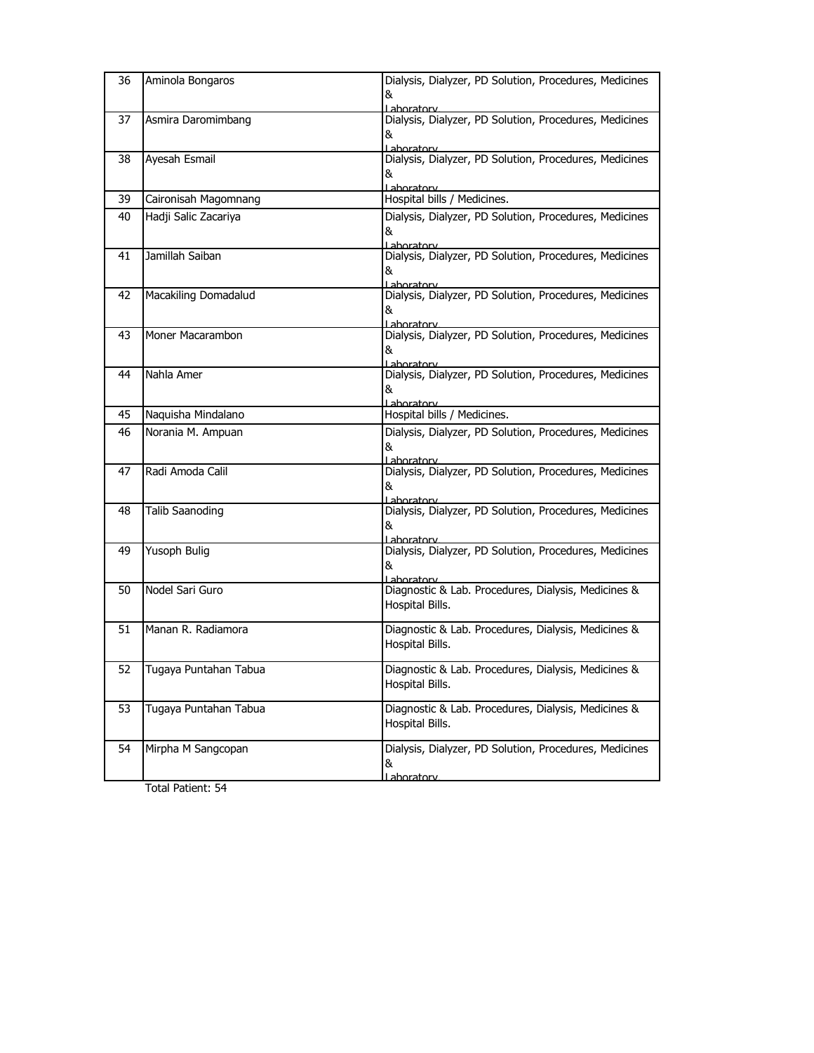| 36 | Aminola Bongaros       | Dialysis, Dialyzer, PD Solution, Procedures, Medicines<br>&<br>Laboratory  |
|----|------------------------|----------------------------------------------------------------------------|
| 37 | Asmira Daromimbang     | Dialysis, Dialyzer, PD Solution, Procedures, Medicines<br>&<br>Laboratory  |
| 38 | Ayesah Esmail          | Dialysis, Dialyzer, PD Solution, Procedures, Medicines<br>&<br>Lahoratory  |
| 39 | Caironisah Magomnang   | Hospital bills / Medicines.                                                |
| 40 | Hadji Salic Zacariya   | Dialysis, Dialyzer, PD Solution, Procedures, Medicines<br>&<br>Laboratory  |
| 41 | Jamillah Saiban        | Dialysis, Dialyzer, PD Solution, Procedures, Medicines<br>&<br>Lahoratory  |
| 42 | Macakiling Domadalud   | Dialysis, Dialyzer, PD Solution, Procedures, Medicines<br>&<br>Lahoratory  |
| 43 | Moner Macarambon       | Dialysis, Dialyzer, PD Solution, Procedures, Medicines<br>&<br>Laboratory  |
| 44 | Nahla Amer             | Dialysis, Dialyzer, PD Solution, Procedures, Medicines<br>&<br>Lahoratory  |
| 45 | Naquisha Mindalano     | Hospital bills / Medicines.                                                |
| 46 | Norania M. Ampuan      | Dialysis, Dialyzer, PD Solution, Procedures, Medicines<br>&<br>Laboratory  |
| 47 | Radi Amoda Calil       | Dialysis, Dialyzer, PD Solution, Procedures, Medicines<br>&<br>Lahoratory  |
| 48 | <b>Talib Saanoding</b> | Dialysis, Dialyzer, PD Solution, Procedures, Medicines<br>&<br>Laboratory  |
| 49 | Yusoph Bulig           | Dialysis, Dialyzer, PD Solution, Procedures, Medicines<br>&<br>I ahoratory |
| 50 | Nodel Sari Guro        | Diagnostic & Lab. Procedures, Dialysis, Medicines &<br>Hospital Bills.     |
| 51 | Manan R. Radiamora     | Diagnostic & Lab. Procedures, Dialysis, Medicines &<br>Hospital Bills.     |
| 52 | Tugaya Puntahan Tabua  | Diagnostic & Lab. Procedures, Dialysis, Medicines &<br>Hospital Bills.     |
| 53 | Tugaya Puntahan Tabua  | Diagnostic & Lab. Procedures, Dialysis, Medicines &<br>Hospital Bills.     |
| 54 | Mirpha M Sangcopan     | Dialysis, Dialyzer, PD Solution, Procedures, Medicines<br>&<br>Laboratory  |
|    |                        |                                                                            |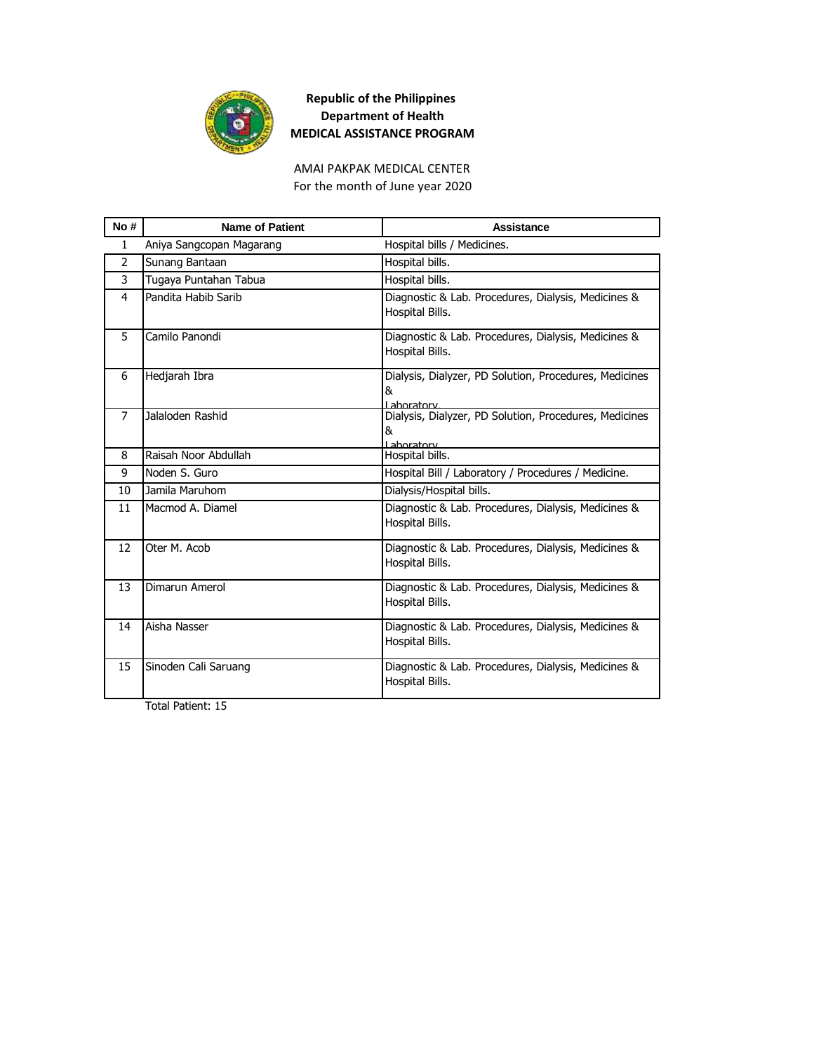

AMAI PAKPAK MEDICAL CENTER For the month of June year 2020

| No #           | <b>Name of Patient</b>   | Assistance                                                                 |
|----------------|--------------------------|----------------------------------------------------------------------------|
| $\mathbf{1}$   | Aniya Sangcopan Magarang | Hospital bills / Medicines.                                                |
| $\mathcal{P}$  | Sunang Bantaan           | Hospital bills.                                                            |
| 3              | Tugaya Puntahan Tabua    | Hospital bills.                                                            |
| 4              | Pandita Habib Sarib      | Diagnostic & Lab. Procedures, Dialysis, Medicines &<br>Hospital Bills.     |
| 5              | Camilo Panondi           | Diagnostic & Lab. Procedures, Dialysis, Medicines &<br>Hospital Bills.     |
| 6              | Hedjarah Ibra            | Dialysis, Dialyzer, PD Solution, Procedures, Medicines<br>&<br>I ahoratory |
| $\overline{7}$ | Jalaloden Rashid         | Dialysis, Dialyzer, PD Solution, Procedures, Medicines<br>&<br>I aboratory |
| 8              | Raisah Noor Abdullah     | Hospital bills.                                                            |
| 9              | Noden S. Guro            | Hospital Bill / Laboratory / Procedures / Medicine.                        |
| 10             | Jamila Maruhom           | Dialysis/Hospital bills.                                                   |
| 11             | Macmod A. Diamel         | Diagnostic & Lab. Procedures, Dialysis, Medicines &<br>Hospital Bills.     |
| 12             | Oter M. Acob             | Diagnostic & Lab. Procedures, Dialysis, Medicines &<br>Hospital Bills.     |
| 13             | Dimarun Amerol           | Diagnostic & Lab. Procedures, Dialysis, Medicines &<br>Hospital Bills.     |
| 14             | Aisha Nasser             | Diagnostic & Lab. Procedures, Dialysis, Medicines &<br>Hospital Bills.     |
| 15             | Sinoden Cali Saruang     | Diagnostic & Lab. Procedures, Dialysis, Medicines &<br>Hospital Bills.     |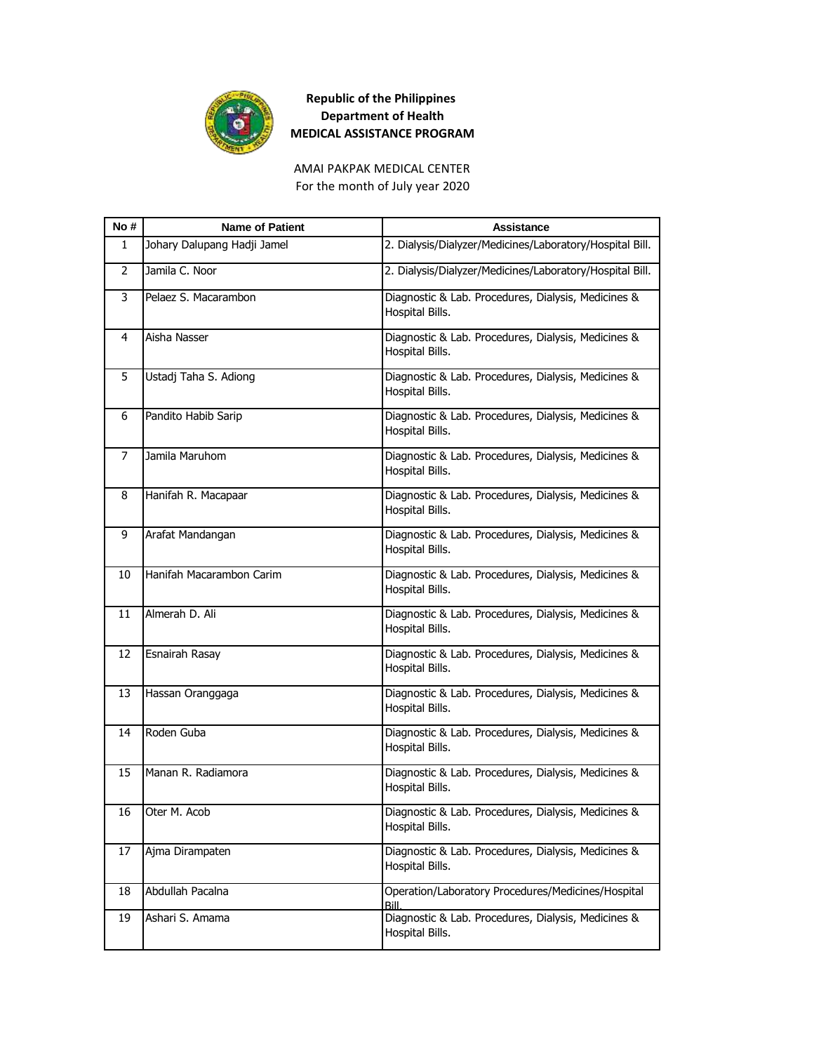

AMAI PAKPAK MEDICAL CENTER For the month of July year 2020

| No # | <b>Name of Patient</b>      | <b>Assistance</b>                                                      |
|------|-----------------------------|------------------------------------------------------------------------|
| 1    | Johary Dalupang Hadji Jamel | 2. Dialysis/Dialyzer/Medicines/Laboratory/Hospital Bill.               |
| 2    | Jamila C. Noor              | 2. Dialysis/Dialyzer/Medicines/Laboratory/Hospital Bill.               |
| 3    | Pelaez S. Macarambon        | Diagnostic & Lab. Procedures, Dialysis, Medicines &<br>Hospital Bills. |
| 4    | Aisha Nasser                | Diagnostic & Lab. Procedures, Dialysis, Medicines &<br>Hospital Bills. |
| 5    | Ustadj Taha S. Adiong       | Diagnostic & Lab. Procedures, Dialysis, Medicines &<br>Hospital Bills. |
| 6    | Pandito Habib Sarip         | Diagnostic & Lab. Procedures, Dialysis, Medicines &<br>Hospital Bills. |
| 7    | Jamila Maruhom              | Diagnostic & Lab. Procedures, Dialysis, Medicines &<br>Hospital Bills. |
| 8    | Hanifah R. Macapaar         | Diagnostic & Lab. Procedures, Dialysis, Medicines &<br>Hospital Bills. |
| 9    | Arafat Mandangan            | Diagnostic & Lab. Procedures, Dialysis, Medicines &<br>Hospital Bills. |
| 10   | Hanifah Macarambon Carim    | Diagnostic & Lab. Procedures, Dialysis, Medicines &<br>Hospital Bills. |
| 11   | Almerah D. Ali              | Diagnostic & Lab. Procedures, Dialysis, Medicines &<br>Hospital Bills. |
| 12   | Esnairah Rasay              | Diagnostic & Lab. Procedures, Dialysis, Medicines &<br>Hospital Bills. |
| 13   | Hassan Oranggaga            | Diagnostic & Lab. Procedures, Dialysis, Medicines &<br>Hospital Bills. |
| 14   | Roden Guba                  | Diagnostic & Lab. Procedures, Dialysis, Medicines &<br>Hospital Bills. |
| 15   | Manan R. Radiamora          | Diagnostic & Lab. Procedures, Dialysis, Medicines &<br>Hospital Bills. |
| 16   | Oter M. Acob                | Diagnostic & Lab. Procedures, Dialysis, Medicines &<br>Hospital Bills. |
| 17   | Ajma Dirampaten             | Diagnostic & Lab. Procedures, Dialysis, Medicines &<br>Hospital Bills. |
| 18   | Abdullah Pacalna            | Operation/Laboratory Procedures/Medicines/Hospital<br>Bill.            |
| 19   | Ashari S. Amama             | Diagnostic & Lab. Procedures, Dialysis, Medicines &<br>Hospital Bills. |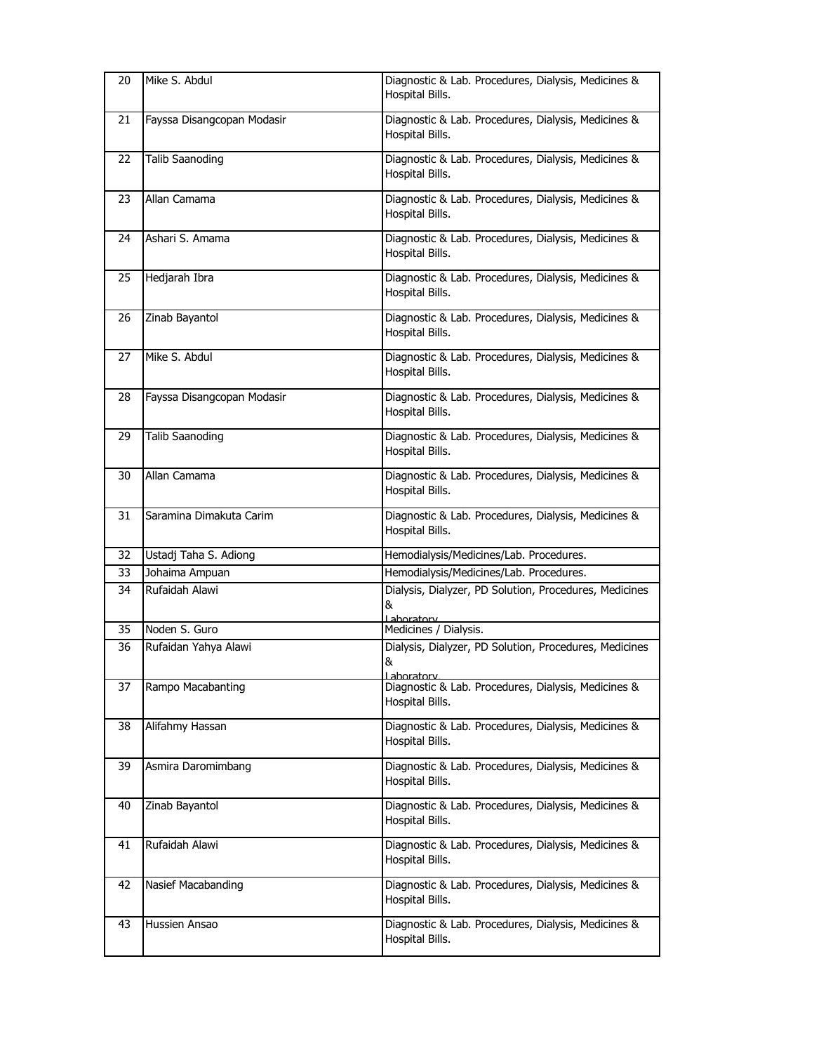| 20 | Mike S. Abdul              | Diagnostic & Lab. Procedures, Dialysis, Medicines &<br>Hospital Bills.            |
|----|----------------------------|-----------------------------------------------------------------------------------|
| 21 | Fayssa Disangcopan Modasir | Diagnostic & Lab. Procedures, Dialysis, Medicines &<br>Hospital Bills.            |
| 22 | <b>Talib Saanoding</b>     | Diagnostic & Lab. Procedures, Dialysis, Medicines &<br>Hospital Bills.            |
| 23 | Allan Camama               | Diagnostic & Lab. Procedures, Dialysis, Medicines &<br>Hospital Bills.            |
| 24 | Ashari S. Amama            | Diagnostic & Lab. Procedures, Dialysis, Medicines &<br>Hospital Bills.            |
| 25 | Hedjarah Ibra              | Diagnostic & Lab. Procedures, Dialysis, Medicines &<br>Hospital Bills.            |
| 26 | Zinab Bayantol             | Diagnostic & Lab. Procedures, Dialysis, Medicines &<br>Hospital Bills.            |
| 27 | Mike S. Abdul              | Diagnostic & Lab. Procedures, Dialysis, Medicines &<br>Hospital Bills.            |
| 28 | Fayssa Disangcopan Modasir | Diagnostic & Lab. Procedures, Dialysis, Medicines &<br>Hospital Bills.            |
| 29 | <b>Talib Saanoding</b>     | Diagnostic & Lab. Procedures, Dialysis, Medicines &<br>Hospital Bills.            |
| 30 | Allan Camama               | Diagnostic & Lab. Procedures, Dialysis, Medicines &<br>Hospital Bills.            |
| 31 | Saramina Dimakuta Carim    | Diagnostic & Lab. Procedures, Dialysis, Medicines &<br>Hospital Bills.            |
| 32 | Ustadj Taha S. Adiong      | Hemodialysis/Medicines/Lab. Procedures.                                           |
| 33 | Johaima Ampuan             | Hemodialysis/Medicines/Lab. Procedures.                                           |
| 34 | Rufaidah Alawi             | Dialysis, Dialyzer, PD Solution, Procedures, Medicines<br>&<br>Laboratory         |
| 35 | Noden S. Guro              | Medicines / Dialysis.                                                             |
| 36 | Rufaidan Yahya Alawi       | Dialysis, Dialyzer, PD Solution, Procedures, Medicines<br>&<br><u>l ahoratory</u> |
| 37 | Rampo Macabanting          | Diagnostic & Lab. Procedures, Dialysis, Medicines &<br>Hospital Bills.            |
| 38 | Alifahmy Hassan            | Diagnostic & Lab. Procedures, Dialysis, Medicines &<br>Hospital Bills.            |
| 39 | Asmira Daromimbang         | Diagnostic & Lab. Procedures, Dialysis, Medicines &<br>Hospital Bills.            |
| 40 | Zinab Bayantol             | Diagnostic & Lab. Procedures, Dialysis, Medicines &<br>Hospital Bills.            |
| 41 | Rufaidah Alawi             | Diagnostic & Lab. Procedures, Dialysis, Medicines &<br>Hospital Bills.            |
| 42 | Nasief Macabanding         | Diagnostic & Lab. Procedures, Dialysis, Medicines &<br>Hospital Bills.            |
| 43 | Hussien Ansao              | Diagnostic & Lab. Procedures, Dialysis, Medicines &<br>Hospital Bills.            |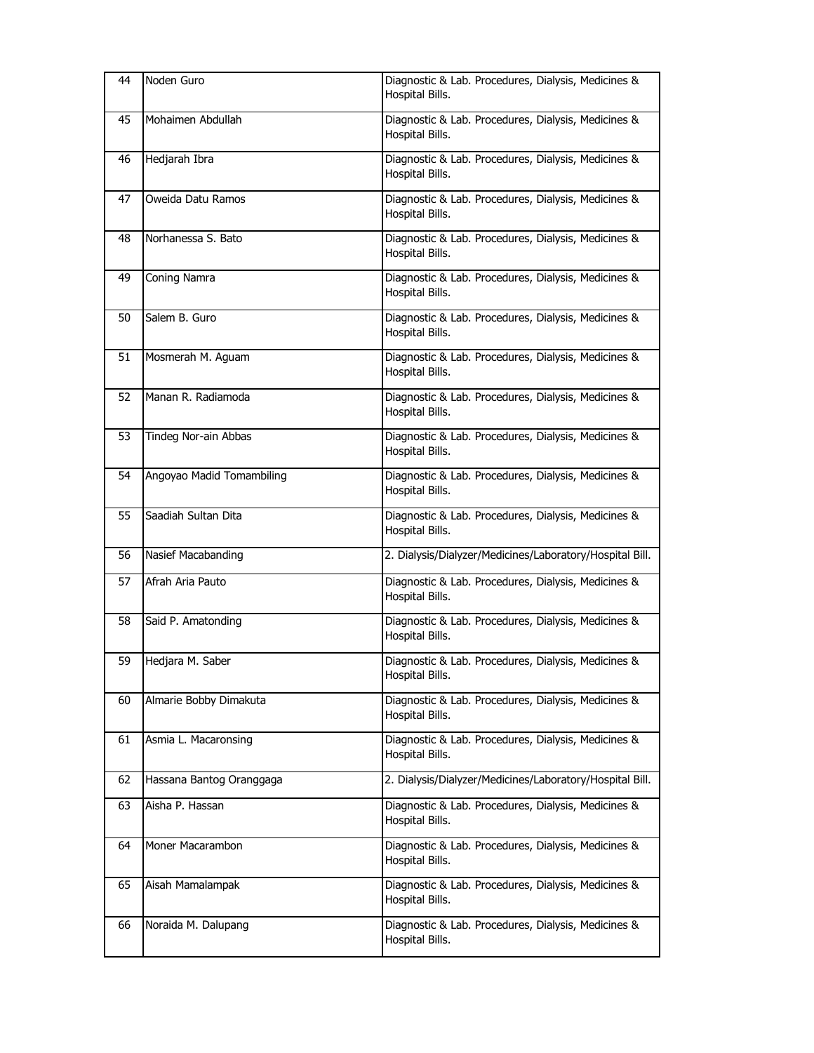| 44 | Noden Guro                | Diagnostic & Lab. Procedures, Dialysis, Medicines &<br>Hospital Bills. |
|----|---------------------------|------------------------------------------------------------------------|
| 45 | Mohaimen Abdullah         | Diagnostic & Lab. Procedures, Dialysis, Medicines &<br>Hospital Bills. |
| 46 | Hedjarah Ibra             | Diagnostic & Lab. Procedures, Dialysis, Medicines &<br>Hospital Bills. |
| 47 | Oweida Datu Ramos         | Diagnostic & Lab. Procedures, Dialysis, Medicines &<br>Hospital Bills. |
| 48 | Norhanessa S. Bato        | Diagnostic & Lab. Procedures, Dialysis, Medicines &<br>Hospital Bills. |
| 49 | Coning Namra              | Diagnostic & Lab. Procedures, Dialysis, Medicines &<br>Hospital Bills. |
| 50 | Salem B. Guro             | Diagnostic & Lab. Procedures, Dialysis, Medicines &<br>Hospital Bills. |
| 51 | Mosmerah M. Aguam         | Diagnostic & Lab. Procedures, Dialysis, Medicines &<br>Hospital Bills. |
| 52 | Manan R. Radiamoda        | Diagnostic & Lab. Procedures, Dialysis, Medicines &<br>Hospital Bills. |
| 53 | Tindeg Nor-ain Abbas      | Diagnostic & Lab. Procedures, Dialysis, Medicines &<br>Hospital Bills. |
| 54 | Angoyao Madid Tomambiling | Diagnostic & Lab. Procedures, Dialysis, Medicines &<br>Hospital Bills. |
| 55 | Saadiah Sultan Dita       | Diagnostic & Lab. Procedures, Dialysis, Medicines &<br>Hospital Bills. |
| 56 | Nasief Macabanding        | 2. Dialysis/Dialyzer/Medicines/Laboratory/Hospital Bill.               |
| 57 | Afrah Aria Pauto          | Diagnostic & Lab. Procedures, Dialysis, Medicines &<br>Hospital Bills. |
| 58 | Said P. Amatonding        | Diagnostic & Lab. Procedures, Dialysis, Medicines &<br>Hospital Bills. |
| 59 | Hedjara M. Saber          | Diagnostic & Lab. Procedures, Dialysis, Medicines &<br>Hospital Bills. |
| 60 | Almarie Bobby Dimakuta    | Diagnostic & Lab. Procedures, Dialysis, Medicines &<br>Hospital Bills. |
| 61 | Asmia L. Macaronsing      | Diagnostic & Lab. Procedures, Dialysis, Medicines &<br>Hospital Bills. |
| 62 | Hassana Bantog Oranggaga  | 2. Dialysis/Dialyzer/Medicines/Laboratory/Hospital Bill.               |
| 63 | Aisha P. Hassan           | Diagnostic & Lab. Procedures, Dialysis, Medicines &<br>Hospital Bills. |
| 64 | Moner Macarambon          | Diagnostic & Lab. Procedures, Dialysis, Medicines &<br>Hospital Bills. |
| 65 | Aisah Mamalampak          | Diagnostic & Lab. Procedures, Dialysis, Medicines &<br>Hospital Bills. |
| 66 | Noraida M. Dalupang       | Diagnostic & Lab. Procedures, Dialysis, Medicines &<br>Hospital Bills. |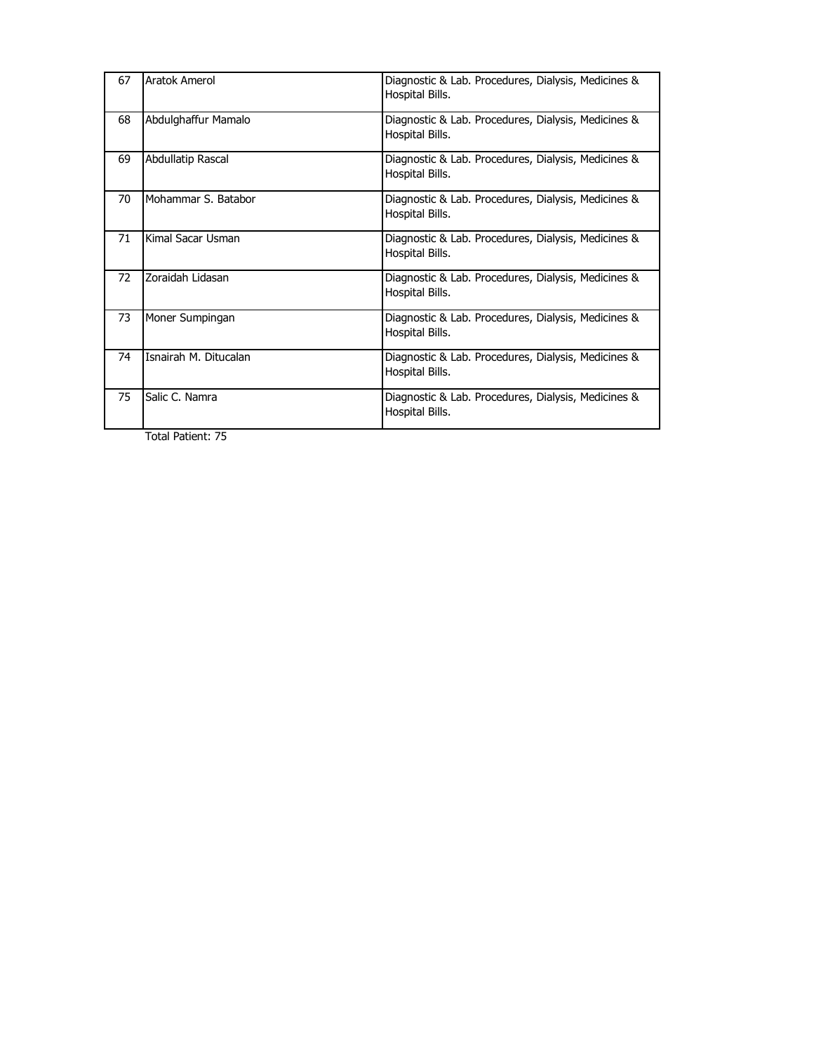| 67 | Aratok Amerol         | Diagnostic & Lab. Procedures, Dialysis, Medicines &<br>Hospital Bills. |
|----|-----------------------|------------------------------------------------------------------------|
| 68 | Abdulghaffur Mamalo   | Diagnostic & Lab. Procedures, Dialysis, Medicines &<br>Hospital Bills. |
| 69 | Abdullatip Rascal     | Diagnostic & Lab. Procedures, Dialysis, Medicines &<br>Hospital Bills. |
| 70 | Mohammar S. Batabor   | Diagnostic & Lab. Procedures, Dialysis, Medicines &<br>Hospital Bills. |
| 71 | Kimal Sacar Usman     | Diagnostic & Lab. Procedures, Dialysis, Medicines &<br>Hospital Bills. |
| 72 | Zoraidah Lidasan      | Diagnostic & Lab. Procedures, Dialysis, Medicines &<br>Hospital Bills. |
| 73 | Moner Sumpingan       | Diagnostic & Lab. Procedures, Dialysis, Medicines &<br>Hospital Bills. |
| 74 | Isnairah M. Ditucalan | Diagnostic & Lab. Procedures, Dialysis, Medicines &<br>Hospital Bills. |
| 75 | Salic C. Namra        | Diagnostic & Lab. Procedures, Dialysis, Medicines &<br>Hospital Bills. |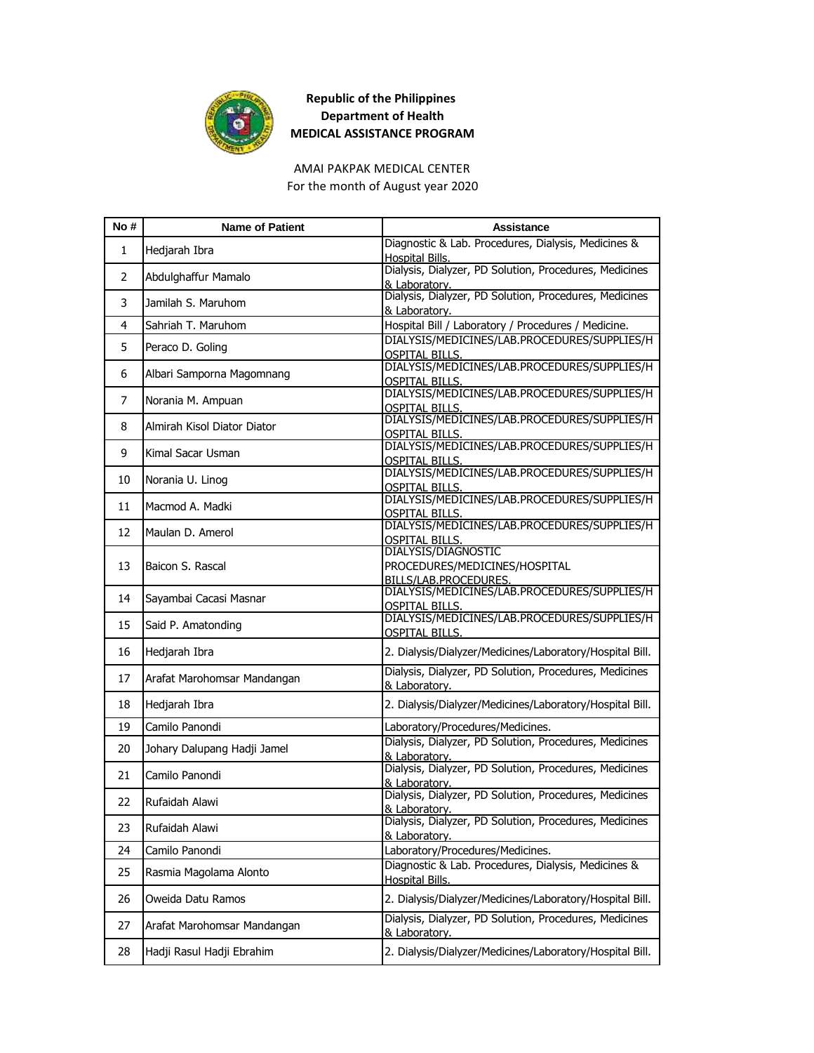

AMAI PAKPAK MEDICAL CENTER For the month of August year 2020

| No#            | <b>Name of Patient</b>      | <b>Assistance</b>                                                                          |
|----------------|-----------------------------|--------------------------------------------------------------------------------------------|
| 1              | Hedjarah Ibra               | Diagnostic & Lab. Procedures, Dialysis, Medicines &                                        |
|                |                             | Hospital Bills.<br>Dialysis, Dialyzer, PD Solution, Procedures, Medicines                  |
| 2              | Abdulghaffur Mamalo         | & Laboratory.                                                                              |
| 3              | Jamilah S. Maruhom          | Dialysis, Dialyzer, PD Solution, Procedures, Medicines<br>& Laboratory.                    |
| 4              | Sahriah T. Maruhom          | Hospital Bill / Laboratory / Procedures / Medicine.                                        |
| 5              | Peraco D. Goling            | DIALYSIS/MEDICINES/LAB.PROCEDURES/SUPPLIES/H                                               |
|                |                             | <b>OSPITAL BILLS.</b>                                                                      |
| 6              | Albari Samporna Magomnang   | DIALYSIS/MEDICINES/LAB.PROCEDURES/SUPPLIES/H<br><b>OSPITAL BILLS.</b>                      |
| $\overline{7}$ | Norania M. Ampuan           | DIALYSIS/MEDICINES/LAB.PROCEDURES/SUPPLIES/H                                               |
|                |                             | <b>OSPITAL BILLS.</b>                                                                      |
| 8              | Almirah Kisol Diator Diator | DIALYSIS/MEDICINES/LAB.PROCEDURES/SUPPLIES/H                                               |
|                |                             | <u>OSPITAL BILLS.</u><br>DIALYSIS/MEDICINES/LAB.PROCEDURES/SUPPLIES/H                      |
| 9              | Kimal Sacar Usman           | <b>OSPITAL BILLS.</b>                                                                      |
| 10             | Norania U. Linog            | DIALYSIS/MEDICINES/LAB.PROCEDURES/SUPPLIES/H                                               |
|                |                             | <b>OSPITAL BILLS.</b><br>DIALYSIS/MEDICINES/LAB.PROCEDURES/SUPPLIES/H                      |
| 11             | Macmod A. Madki             | <b>OSPITAL BILLS.</b>                                                                      |
|                |                             | DIALYSIS/MEDICINES/LAB.PROCEDURES/SUPPLIES/H                                               |
| 12             | Maulan D. Amerol            |                                                                                            |
|                |                             | <u>OSPITAL BILLS.</u><br>DIALYSIS/DIAGNOSTIC                                               |
| 13             | Baicon S. Rascal            | PROCEDURES/MEDICINES/HOSPITAL                                                              |
|                |                             | BILLS/LAB.PROCEDURES.                                                                      |
| 14             | Sayambai Cacasi Masnar      | DIALYSIS/MEDICINES/LAB.PROCEDURES/SUPPLIES/H<br><b>OSPITAL BILLS.</b>                      |
|                |                             | DIALYSIS/MEDICINES/LAB.PROCEDURES/SUPPLIES/H                                               |
| 15             | Said P. Amatonding          | <b>OSPITAL BILLS.</b>                                                                      |
| 16             | Hedjarah Ibra               | 2. Dialysis/Dialyzer/Medicines/Laboratory/Hospital Bill.                                   |
|                |                             | Dialysis, Dialyzer, PD Solution, Procedures, Medicines                                     |
| 17             | Arafat Marohomsar Mandangan | & Laboratory.                                                                              |
| 18             | Hedjarah Ibra               | 2. Dialysis/Dialyzer/Medicines/Laboratory/Hospital Bill.                                   |
| 19             | Camilo Panondi              |                                                                                            |
|                |                             | Laboratory/Procedures/Medicines.<br>Dialysis, Dialyzer, PD Solution, Procedures, Medicines |
| 20             | Johary Dalupang Hadji Jamel | & Laboratory.                                                                              |
|                | Camilo Panondi              | Dialysis, Dialyzer, PD Solution, Procedures, Medicines                                     |
| 21             |                             | & Laboratory.                                                                              |
| 22             | Rufaidah Alawi              | Dialysis, Dialyzer, PD Solution, Procedures, Medicines                                     |
|                |                             | & Laboratory.<br>Dialysis, Dialyzer, PD Solution, Procedures, Medicines                    |
| 23             | Rufaidah Alawi              | & Laboratory.                                                                              |
| 24             | Camilo Panondi              | Laboratory/Procedures/Medicines.                                                           |
|                |                             | Diagnostic & Lab. Procedures, Dialysis, Medicines &                                        |
| 25             | Rasmia Magolama Alonto      | <b>Hospital Bills.</b>                                                                     |
| 26             | Oweida Datu Ramos           | 2. Dialysis/Dialyzer/Medicines/Laboratory/Hospital Bill.                                   |
| 27             | Arafat Marohomsar Mandangan | Dialysis, Dialyzer, PD Solution, Procedures, Medicines<br>& Laboratory.                    |
| 28             | Hadji Rasul Hadji Ebrahim   | 2. Dialysis/Dialyzer/Medicines/Laboratory/Hospital Bill.                                   |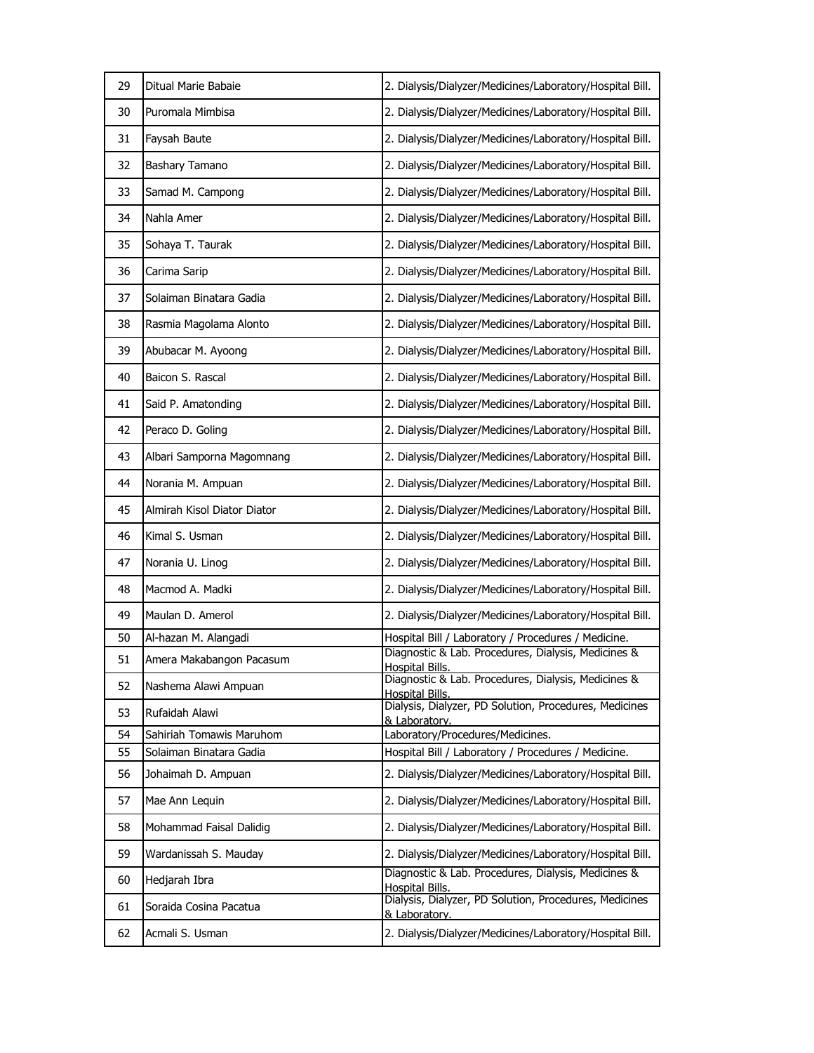| 29 | Ditual Marie Babaie         | 2. Dialysis/Dialyzer/Medicines/Laboratory/Hospital Bill.                         |
|----|-----------------------------|----------------------------------------------------------------------------------|
| 30 | Puromala Mimbisa            | 2. Dialysis/Dialyzer/Medicines/Laboratory/Hospital Bill.                         |
| 31 | Faysah Baute                | 2. Dialysis/Dialyzer/Medicines/Laboratory/Hospital Bill.                         |
| 32 | Bashary Tamano              | 2. Dialysis/Dialyzer/Medicines/Laboratory/Hospital Bill.                         |
| 33 | Samad M. Campong            | 2. Dialysis/Dialyzer/Medicines/Laboratory/Hospital Bill.                         |
| 34 | Nahla Amer                  | 2. Dialysis/Dialyzer/Medicines/Laboratory/Hospital Bill.                         |
| 35 | Sohaya T. Taurak            | 2. Dialysis/Dialyzer/Medicines/Laboratory/Hospital Bill.                         |
| 36 | Carima Sarip                | 2. Dialysis/Dialyzer/Medicines/Laboratory/Hospital Bill.                         |
| 37 | Solaiman Binatara Gadia     | 2. Dialysis/Dialyzer/Medicines/Laboratory/Hospital Bill.                         |
| 38 | Rasmia Magolama Alonto      | 2. Dialysis/Dialyzer/Medicines/Laboratory/Hospital Bill.                         |
| 39 | Abubacar M. Ayoong          | 2. Dialysis/Dialyzer/Medicines/Laboratory/Hospital Bill.                         |
| 40 | Baicon S. Rascal            | 2. Dialysis/Dialyzer/Medicines/Laboratory/Hospital Bill.                         |
| 41 | Said P. Amatonding          | 2. Dialysis/Dialyzer/Medicines/Laboratory/Hospital Bill.                         |
| 42 | Peraco D. Goling            | 2. Dialysis/Dialyzer/Medicines/Laboratory/Hospital Bill.                         |
| 43 | Albari Samporna Magomnang   | 2. Dialysis/Dialyzer/Medicines/Laboratory/Hospital Bill.                         |
| 44 | Norania M. Ampuan           | 2. Dialysis/Dialyzer/Medicines/Laboratory/Hospital Bill.                         |
| 45 | Almirah Kisol Diator Diator | 2. Dialysis/Dialyzer/Medicines/Laboratory/Hospital Bill.                         |
| 46 | Kimal S. Usman              | 2. Dialysis/Dialyzer/Medicines/Laboratory/Hospital Bill.                         |
| 47 | Norania U. Linog            | 2. Dialysis/Dialyzer/Medicines/Laboratory/Hospital Bill.                         |
| 48 | Macmod A. Madki             | 2. Dialysis/Dialyzer/Medicines/Laboratory/Hospital Bill.                         |
| 49 | Maulan D. Amerol            | 2. Dialysis/Dialyzer/Medicines/Laboratory/Hospital Bill.                         |
| 50 | Al-hazan M. Alangadi        | Hospital Bill / Laboratory / Procedures / Medicine.                              |
| 51 | Amera Makabangon Pacasum    | Diagnostic & Lab. Procedures, Dialysis, Medicines &                              |
| 52 | Nashema Alawi Ampuan        | Hospital Bills.<br>Diagnostic & Lab. Procedures, Dialysis, Medicines &           |
| 53 | Rufaidah Alawi              | <b>Hospital Bills.</b><br>Dialysis, Dialyzer, PD Solution, Procedures, Medicines |
| 54 | Sahiriah Tomawis Maruhom    | & Laboratory.<br>Laboratory/Procedures/Medicines.                                |
| 55 | Solaiman Binatara Gadia     | Hospital Bill / Laboratory / Procedures / Medicine.                              |
| 56 | Johaimah D. Ampuan          | 2. Dialysis/Dialyzer/Medicines/Laboratory/Hospital Bill.                         |
| 57 | Mae Ann Lequin              | 2. Dialysis/Dialyzer/Medicines/Laboratory/Hospital Bill.                         |
| 58 | Mohammad Faisal Dalidig     | 2. Dialysis/Dialyzer/Medicines/Laboratory/Hospital Bill.                         |
| 59 | Wardanissah S. Mauday       | 2. Dialysis/Dialyzer/Medicines/Laboratory/Hospital Bill.                         |
| 60 | Hedjarah Ibra               | Diagnostic & Lab. Procedures, Dialysis, Medicines &<br>Hospital Bills.           |
| 61 | Soraida Cosina Pacatua      | Dialysis, Dialyzer, PD Solution, Procedures, Medicines<br>& Laboratory.          |
| 62 | Acmali S. Usman             | 2. Dialysis/Dialyzer/Medicines/Laboratory/Hospital Bill.                         |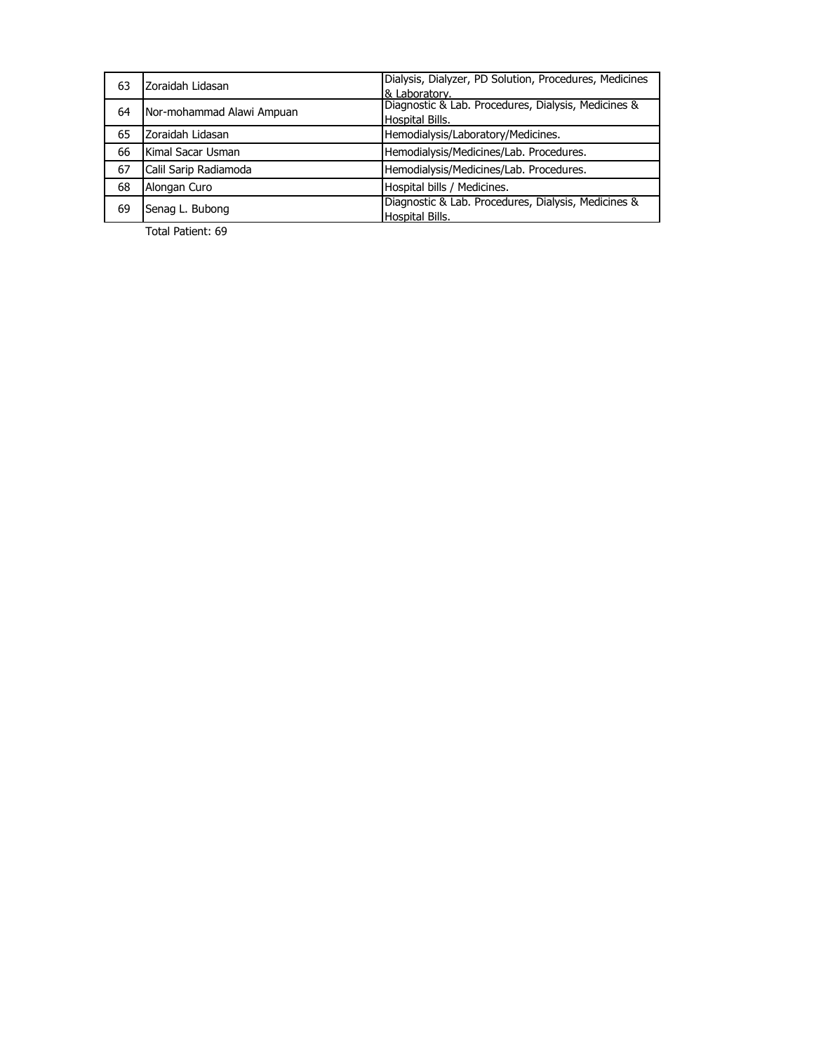| 63 | Zoraidah Lidasan          | Dialysis, Dialyzer, PD Solution, Procedures, Medicines |
|----|---------------------------|--------------------------------------------------------|
|    |                           | & Laboratory.                                          |
| 64 | Nor-mohammad Alawi Ampuan | Diagnostic & Lab. Procedures, Dialysis, Medicines &    |
|    |                           | <b>Hospital Bills.</b>                                 |
| 65 | Zoraidah Lidasan          | Hemodialysis/Laboratory/Medicines.                     |
| 66 | Kimal Sacar Usman         | Hemodialysis/Medicines/Lab. Procedures.                |
| 67 | Calil Sarip Radiamoda     | Hemodialysis/Medicines/Lab. Procedures.                |
| 68 | Alongan Curo              | Hospital bills / Medicines.                            |
| 69 | Senag L. Bubong           | Diagnostic & Lab. Procedures, Dialysis, Medicines &    |
|    |                           | <b>Hospital Bills.</b>                                 |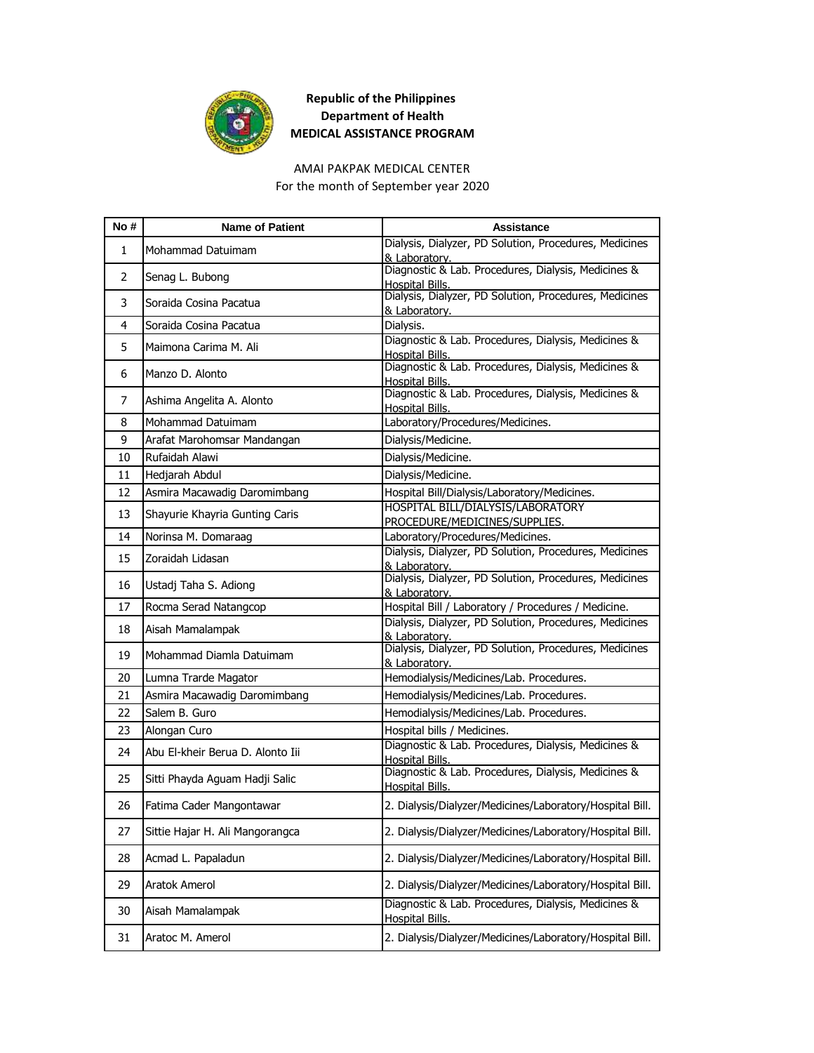

# AMAI PAKPAK MEDICAL CENTER

For the month of September year 2020

| No#          | <b>Name of Patient</b>           | <b>Assistance</b>                                                             |
|--------------|----------------------------------|-------------------------------------------------------------------------------|
| $\mathbf{1}$ | Mohammad Datuimam                | Dialysis, Dialyzer, PD Solution, Procedures, Medicines<br>& Laboratory.       |
| 2            | Senag L. Bubong                  | Diagnostic & Lab. Procedures, Dialysis, Medicines &<br>Hospital Bills.        |
| 3            | Soraida Cosina Pacatua           | Dialysis, Dialyzer, PD Solution, Procedures, Medicines<br>& Laboratory.       |
| 4            | Soraida Cosina Pacatua           | Dialysis.                                                                     |
| 5            | Maimona Carima M. Ali            | Diagnostic & Lab. Procedures, Dialysis, Medicines &<br>Hospital Bills.        |
| 6            | Manzo D. Alonto                  | Diagnostic & Lab. Procedures, Dialysis, Medicines &<br>Hospital Bills.        |
| 7            | Ashima Angelita A. Alonto        | Diagnostic & Lab. Procedures, Dialysis, Medicines &<br>Hospital Bills.        |
| 8            | Mohammad Datuimam                | Laboratory/Procedures/Medicines.                                              |
| 9            | Arafat Marohomsar Mandangan      | Dialysis/Medicine.                                                            |
| 10           | Rufaidah Alawi                   | Dialysis/Medicine.                                                            |
| 11           | Hedjarah Abdul                   | Dialysis/Medicine.                                                            |
| 12           | Asmira Macawadig Daromimbang     | Hospital Bill/Dialysis/Laboratory/Medicines.                                  |
| 13           | Shayurie Khayria Gunting Caris   | HOSPITAL BILL/DIALYSIS/LABORATORY                                             |
|              |                                  | PROCEDURE/MEDICINES/SUPPLIES.                                                 |
| 14           | Norinsa M. Domaraag              | Laboratory/Procedures/Medicines.                                              |
| 15           | Zoraidah Lidasan                 | Dialysis, Dialyzer, PD Solution, Procedures, Medicines<br>& Laboratory.       |
| 16           | Ustadj Taha S. Adiong            | Dialysis, Dialyzer, PD Solution, Procedures, Medicines<br>& Laboratory.       |
| 17           | Rocma Serad Natangcop            | Hospital Bill / Laboratory / Procedures / Medicine.                           |
| 18           | Aisah Mamalampak                 | Dialysis, Dialyzer, PD Solution, Procedures, Medicines<br>& Laboratory.       |
| 19           | Mohammad Diamla Datuimam         | Dialysis, Dialyzer, PD Solution, Procedures, Medicines<br>& Laboratorv.       |
| 20           | Lumna Trarde Magator             | Hemodialysis/Medicines/Lab. Procedures.                                       |
| 21           | Asmira Macawadig Daromimbang     | Hemodialysis/Medicines/Lab. Procedures.                                       |
| 22           | Salem B. Guro                    | Hemodialysis/Medicines/Lab. Procedures.                                       |
| 23           | Alongan Curo                     | Hospital bills / Medicines.                                                   |
| 24           | Abu El-kheir Berua D. Alonto Iii | Diagnostic & Lab. Procedures, Dialysis, Medicines &<br>Hospital Bills.        |
| 25           | Sitti Phayda Aguam Hadji Salic   | Diagnostic & Lab. Procedures, Dialysis, Medicines &<br><b>Hospital Bills.</b> |
| 26           | Fatima Cader Mangontawar         | 2. Dialysis/Dialyzer/Medicines/Laboratory/Hospital Bill.                      |
| 27           | Sittie Hajar H. Ali Mangorangca  | 2. Dialysis/Dialyzer/Medicines/Laboratory/Hospital Bill.                      |
| 28           | Acmad L. Papaladun               | 2. Dialysis/Dialyzer/Medicines/Laboratory/Hospital Bill.                      |
| 29           | Aratok Amerol                    | 2. Dialysis/Dialyzer/Medicines/Laboratory/Hospital Bill.                      |
| 30           | Aisah Mamalampak                 | Diagnostic & Lab. Procedures, Dialysis, Medicines &<br><b>Hospital Bills.</b> |
| 31           | Aratoc M. Amerol                 | 2. Dialysis/Dialyzer/Medicines/Laboratory/Hospital Bill.                      |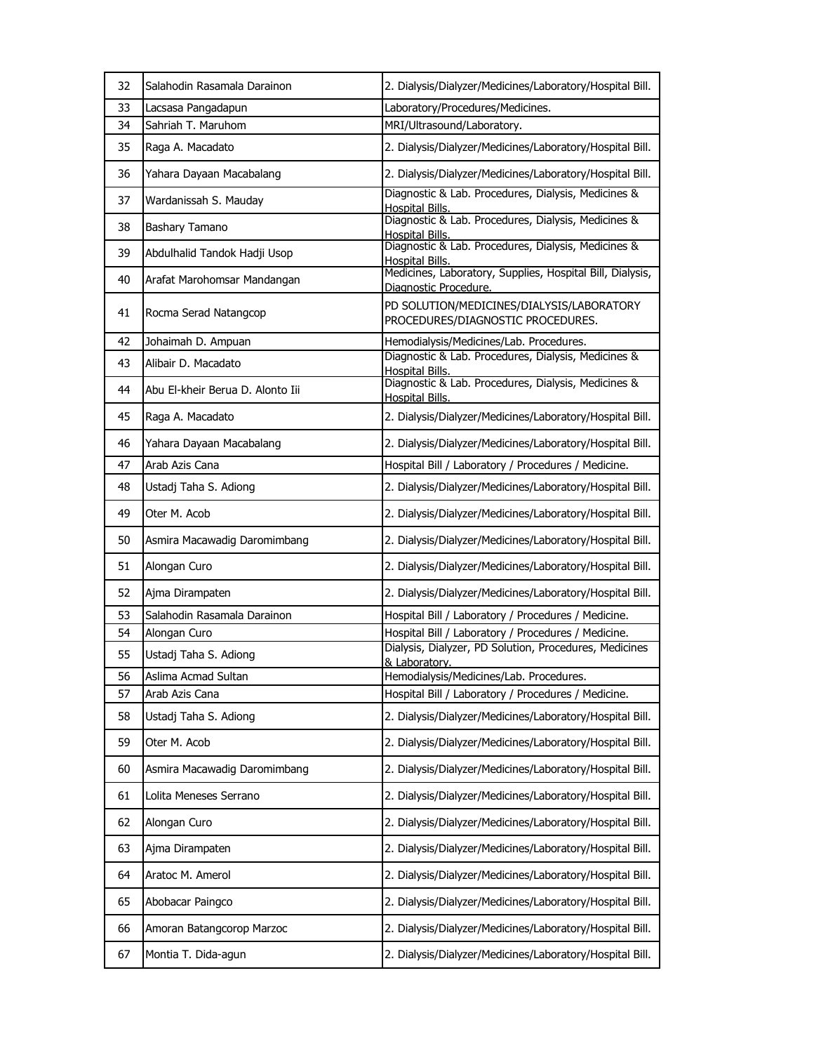| 32 | Salahodin Rasamala Darainon      | 2. Dialysis/Dialyzer/Medicines/Laboratory/Hospital Bill.                           |
|----|----------------------------------|------------------------------------------------------------------------------------|
| 33 | Lacsasa Pangadapun               | Laboratory/Procedures/Medicines.                                                   |
| 34 | Sahriah T. Maruhom               | MRI/Ultrasound/Laboratory.                                                         |
| 35 | Raga A. Macadato                 | 2. Dialysis/Dialyzer/Medicines/Laboratory/Hospital Bill.                           |
| 36 | Yahara Dayaan Macabalang         | 2. Dialysis/Dialyzer/Medicines/Laboratory/Hospital Bill.                           |
| 37 | Wardanissah S. Mauday            | Diagnostic & Lab. Procedures, Dialysis, Medicines &<br>Hospital Bills.             |
| 38 | Bashary Tamano                   | Diagnostic & Lab. Procedures, Dialysis, Medicines &<br>Hospital Bills.             |
| 39 | Abdulhalid Tandok Hadji Usop     | Diagnostic & Lab. Procedures, Dialysis, Medicines &<br>Hospital Bills.             |
| 40 | Arafat Marohomsar Mandangan      | Medicines, Laboratory, Supplies, Hospital Bill, Dialysis,<br>Diagnostic Procedure. |
| 41 | Rocma Serad Natangcop            | PD SOLUTION/MEDICINES/DIALYSIS/LABORATORY<br>PROCEDURES/DIAGNOSTIC PROCEDURES.     |
| 42 | Johaimah D. Ampuan               | Hemodialysis/Medicines/Lab. Procedures.                                            |
| 43 | Alibair D. Macadato              | Diagnostic & Lab. Procedures, Dialysis, Medicines &<br>Hospital Bills.             |
| 44 | Abu El-kheir Berua D. Alonto Iii | Diagnostic & Lab. Procedures, Dialysis, Medicines &<br><b>Hospital Bills.</b>      |
| 45 | Raga A. Macadato                 | 2. Dialysis/Dialyzer/Medicines/Laboratory/Hospital Bill.                           |
| 46 | Yahara Dayaan Macabalang         | 2. Dialysis/Dialyzer/Medicines/Laboratory/Hospital Bill.                           |
| 47 | Arab Azis Cana                   | Hospital Bill / Laboratory / Procedures / Medicine.                                |
| 48 | Ustadj Taha S. Adiong            | 2. Dialysis/Dialyzer/Medicines/Laboratory/Hospital Bill.                           |
| 49 | Oter M. Acob                     | 2. Dialysis/Dialyzer/Medicines/Laboratory/Hospital Bill.                           |
| 50 | Asmira Macawadig Daromimbang     | 2. Dialysis/Dialyzer/Medicines/Laboratory/Hospital Bill.                           |
| 51 | Alongan Curo                     | 2. Dialysis/Dialyzer/Medicines/Laboratory/Hospital Bill.                           |
| 52 | Ajma Dirampaten                  | 2. Dialysis/Dialyzer/Medicines/Laboratory/Hospital Bill.                           |
| 53 | Salahodin Rasamala Darainon      | Hospital Bill / Laboratory / Procedures / Medicine.                                |
| 54 | Alongan Curo                     | Hospital Bill / Laboratory / Procedures / Medicine.                                |
| 55 | Ustadj Taha S. Adiong            | Dialysis, Dialyzer, PD Solution, Procedures, Medicines<br>& Laboratory.            |
| 56 | Aslima Acmad Sultan              | Hemodialysis/Medicines/Lab. Procedures.                                            |
| 57 | Arab Azis Cana                   | Hospital Bill / Laboratory / Procedures / Medicine.                                |
| 58 | Ustadj Taha S. Adiong            | 2. Dialysis/Dialyzer/Medicines/Laboratory/Hospital Bill.                           |
| 59 | Oter M. Acob                     | 2. Dialysis/Dialyzer/Medicines/Laboratory/Hospital Bill.                           |
| 60 | Asmira Macawadig Daromimbang     | 2. Dialysis/Dialyzer/Medicines/Laboratory/Hospital Bill.                           |
| 61 | Lolita Meneses Serrano           | 2. Dialysis/Dialyzer/Medicines/Laboratory/Hospital Bill.                           |
| 62 | Alongan Curo                     | 2. Dialysis/Dialyzer/Medicines/Laboratory/Hospital Bill.                           |
| 63 | Ajma Dirampaten                  | 2. Dialysis/Dialyzer/Medicines/Laboratory/Hospital Bill.                           |
| 64 | Aratoc M. Amerol                 | 2. Dialysis/Dialyzer/Medicines/Laboratory/Hospital Bill.                           |
| 65 | Abobacar Paingco                 | 2. Dialysis/Dialyzer/Medicines/Laboratory/Hospital Bill.                           |
| 66 | Amoran Batangcorop Marzoc        | 2. Dialysis/Dialyzer/Medicines/Laboratory/Hospital Bill.                           |
| 67 | Montia T. Dida-agun              | 2. Dialysis/Dialyzer/Medicines/Laboratory/Hospital Bill.                           |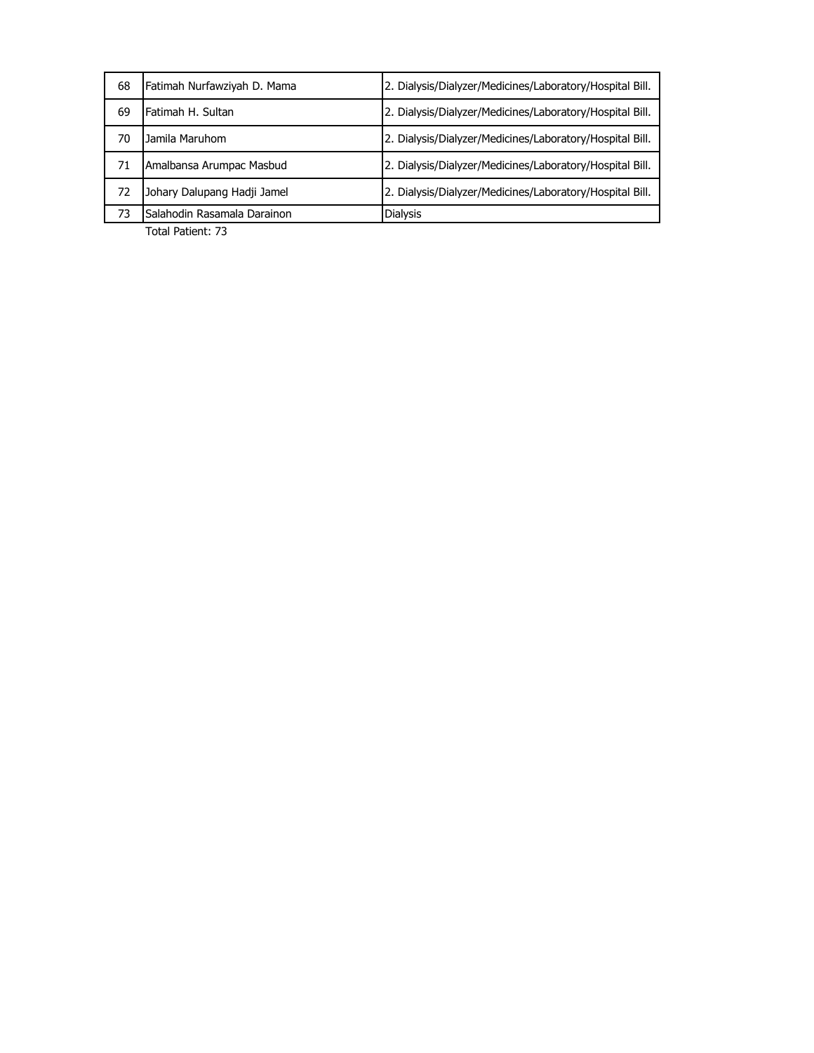| 68 | Fatimah Nurfawziyah D. Mama | 2. Dialysis/Dialyzer/Medicines/Laboratory/Hospital Bill. |
|----|-----------------------------|----------------------------------------------------------|
| 69 | Fatimah H. Sultan           | 2. Dialysis/Dialyzer/Medicines/Laboratory/Hospital Bill. |
| 70 | Jamila Maruhom              | 2. Dialysis/Dialyzer/Medicines/Laboratory/Hospital Bill. |
| 71 | Amalbansa Arumpac Masbud    | 2. Dialysis/Dialyzer/Medicines/Laboratory/Hospital Bill. |
| 72 | Johary Dalupang Hadji Jamel | 2. Dialysis/Dialyzer/Medicines/Laboratory/Hospital Bill. |
| 73 | Salahodin Rasamala Darainon | <b>Dialysis</b>                                          |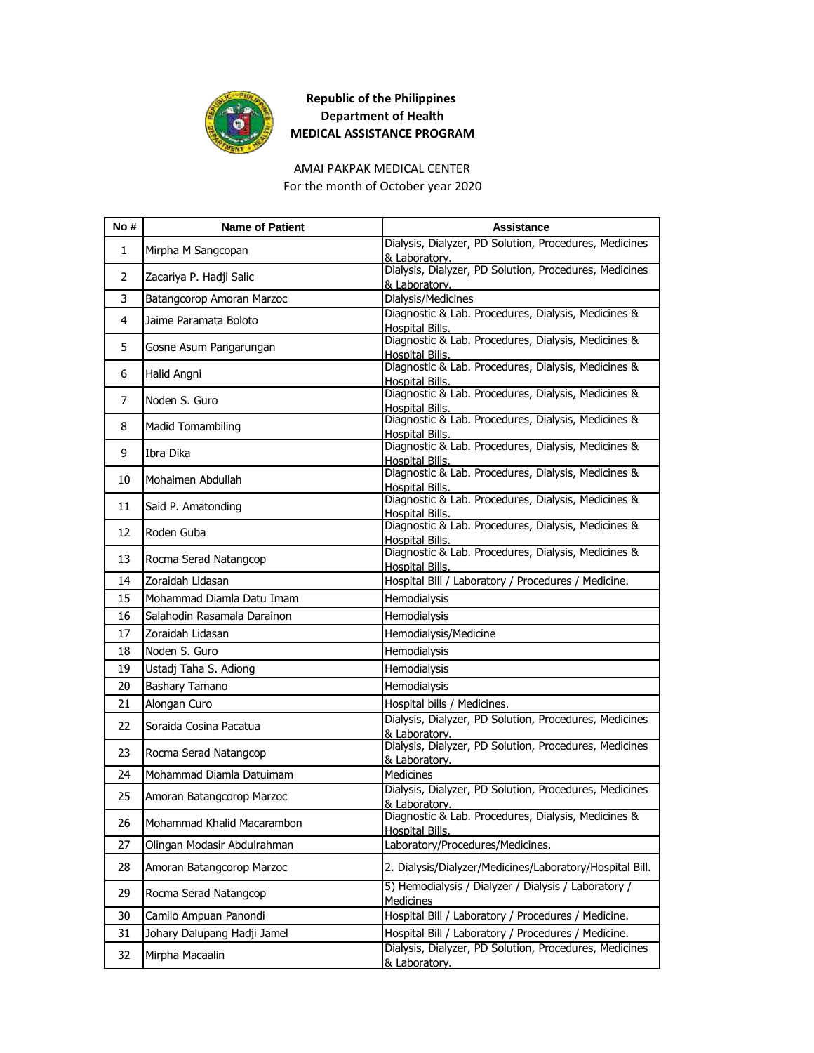

AMAI PAKPAK MEDICAL CENTER

For the month of October year 2020

| No#          | <b>Name of Patient</b>      | <b>Assistance</b>                                                                        |
|--------------|-----------------------------|------------------------------------------------------------------------------------------|
| $\mathbf{1}$ | Mirpha M Sangcopan          | Dialysis, Dialyzer, PD Solution, Procedures, Medicines<br>& Laboratory.                  |
| 2            | Zacariya P. Hadji Salic     | Dialysis, Dialyzer, PD Solution, Procedures, Medicines<br>& Laboratory.                  |
| 3            | Batangcorop Amoran Marzoc   | Dialysis/Medicines                                                                       |
| 4            | Jaime Paramata Boloto       | Diagnostic & Lab. Procedures, Dialysis, Medicines &<br>Hospital Bills.                   |
| 5            | Gosne Asum Pangarungan      | Diagnostic & Lab. Procedures, Dialysis, Medicines &<br>Hospital Bills.                   |
| 6            | Halid Angni                 | Diagnostic & Lab. Procedures, Dialysis, Medicines &<br>Hospital Bills.                   |
| 7            | Noden S. Guro               | Diagnostic & Lab. Procedures, Dialysis, Medicines &<br>Hospital Bills.                   |
| 8            | <b>Madid Tomambiling</b>    | Diagnostic & Lab. Procedures, Dialysis, Medicines &<br>Hospital Bills.                   |
| 9            | Ibra Dika                   | Diagnostic & Lab. Procedures, Dialysis, Medicines &<br>Hospital Bills.                   |
| 10           | Mohaimen Abdullah           | Diagnostic & Lab. Procedures, Dialysis, Medicines &<br>Hospital Bills.                   |
| 11           | Said P. Amatonding          | Diagnostic & Lab. Procedures, Dialysis, Medicines &<br>Hospital Bills.                   |
| 12           | Roden Guba                  | Diagnostic & Lab. Procedures, Dialysis, Medicines &<br><b>Hospital Bills.</b>            |
| 13           | Rocma Serad Natangcop       | Diagnostic & Lab. Procedures, Dialysis, Medicines &<br>Hospital Bills.                   |
| 14           | Zoraidah Lidasan            | Hospital Bill / Laboratory / Procedures / Medicine.                                      |
| 15           | Mohammad Diamla Datu Imam   | Hemodialysis                                                                             |
| 16           | Salahodin Rasamala Darainon | Hemodialysis                                                                             |
| 17           | Zoraidah Lidasan            | Hemodialysis/Medicine                                                                    |
| 18           | Noden S. Guro               | Hemodialysis                                                                             |
| 19           | Ustadj Taha S. Adiong       | Hemodialysis                                                                             |
| 20           | Bashary Tamano              | Hemodialysis                                                                             |
| 21           | Alongan Curo                | Hospital bills / Medicines.                                                              |
| 22           | Soraida Cosina Pacatua      | Dialysis, Dialyzer, PD Solution, Procedures, Medicines<br>& Laboratory.                  |
| 23           | Rocma Serad Natangcop       | Dialysis, Dialyzer, PD Solution, Procedures, Medicines<br>& Laboratory.                  |
| 24           | Mohammad Diamla Datuimam    | <b>Medicines</b>                                                                         |
| 25           | Amoran Batangcorop Marzoc   | Dialysis, Dialyzer, PD Solution, Procedures, Medicines                                   |
| 26           | Mohammad Khalid Macarambon  | & Laboratory.<br> Diagnostic & Lab. Procedures, Dialysis, Medicines &<br>Hospital Bills. |
| 27           | Olingan Modasir Abdulrahman | Laboratory/Procedures/Medicines.                                                         |
| 28           | Amoran Batangcorop Marzoc   | 2. Dialysis/Dialyzer/Medicines/Laboratory/Hospital Bill.                                 |
| 29           | Rocma Serad Natangcop       | 5) Hemodialysis / Dialyzer / Dialysis / Laboratory /<br><b>Medicines</b>                 |
| 30           | Camilo Ampuan Panondi       | Hospital Bill / Laboratory / Procedures / Medicine.                                      |
| 31           | Johary Dalupang Hadji Jamel | Hospital Bill / Laboratory / Procedures / Medicine.                                      |
| 32           | Mirpha Macaalin             | Dialysis, Dialyzer, PD Solution, Procedures, Medicines<br>& Laboratory.                  |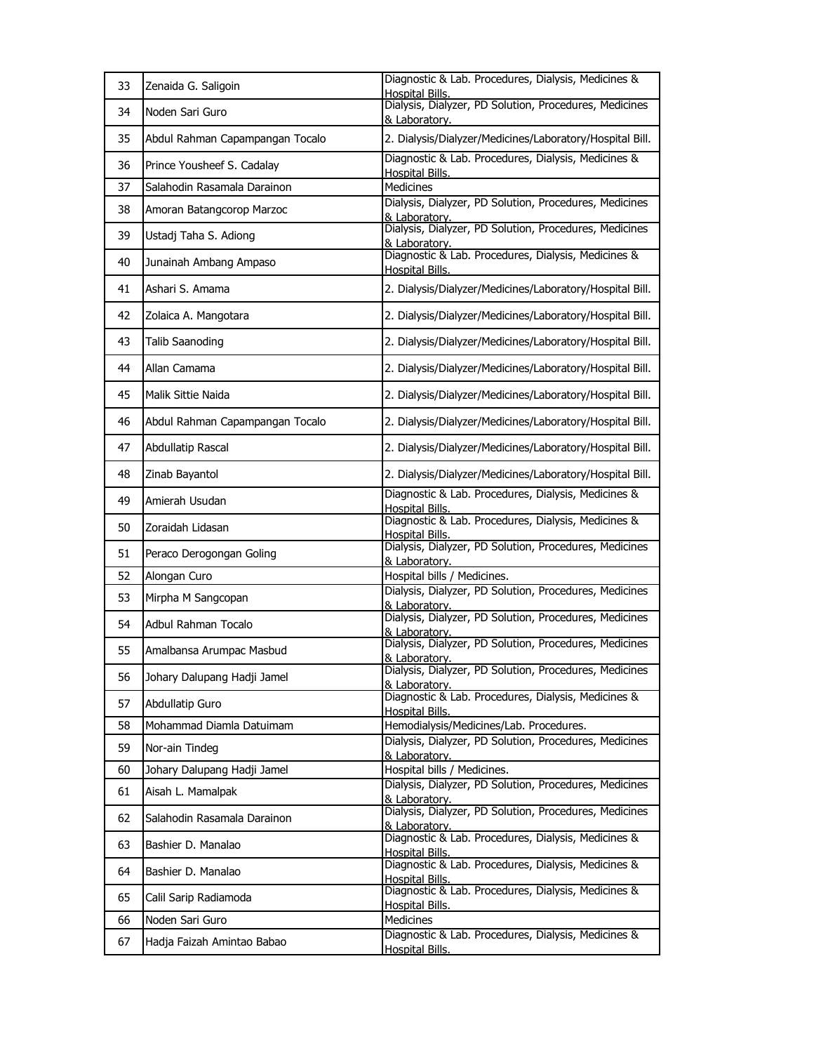| 33       | Zenaida G. Saligoin                              | Diagnostic & Lab. Procedures, Dialysis, Medicines &<br><b>Hospital Bills</b>                      |
|----------|--------------------------------------------------|---------------------------------------------------------------------------------------------------|
| 34       | Noden Sari Guro                                  | Dialysis, Dialyzer, PD Solution, Procedures, Medicines<br>& Laboratory.                           |
| 35       | Abdul Rahman Capampangan Tocalo                  | 2. Dialysis/Dialyzer/Medicines/Laboratory/Hospital Bill.                                          |
| 36       | Prince Yousheef S. Cadalay                       | Diagnostic & Lab. Procedures, Dialysis, Medicines &<br><b>Hospital Bills.</b>                     |
| 37       | Salahodin Rasamala Darainon                      | Medicines                                                                                         |
| 38       | Amoran Batangcorop Marzoc                        | Dialysis, Dialyzer, PD Solution, Procedures, Medicines                                            |
|          |                                                  | & Laboratory.<br>Dialysis, Dialyzer, PD Solution, Procedures, Medicines                           |
| 39       | Ustadj Taha S. Adiong                            | & Laboratory.<br>Diagnostic & Lab. Procedures, Dialysis, Medicines &                              |
| 40       | Junainah Ambang Ampaso                           | <b>Hospital Bills.</b>                                                                            |
| 41       | Ashari S. Amama                                  | 2. Dialysis/Dialyzer/Medicines/Laboratory/Hospital Bill.                                          |
| 42       | Zolaica A. Mangotara                             | 2. Dialysis/Dialyzer/Medicines/Laboratory/Hospital Bill.                                          |
| 43       | <b>Talib Saanoding</b>                           | 2. Dialysis/Dialyzer/Medicines/Laboratory/Hospital Bill.                                          |
| 44       | Allan Camama                                     | 2. Dialysis/Dialyzer/Medicines/Laboratory/Hospital Bill.                                          |
| 45       | Malik Sittie Naida                               | 2. Dialysis/Dialyzer/Medicines/Laboratory/Hospital Bill.                                          |
| 46       | Abdul Rahman Capampangan Tocalo                  | 2. Dialysis/Dialyzer/Medicines/Laboratory/Hospital Bill.                                          |
| 47       | Abdullatip Rascal                                | 2. Dialysis/Dialyzer/Medicines/Laboratory/Hospital Bill.                                          |
| 48       | Zinab Bayantol                                   | 2. Dialysis/Dialyzer/Medicines/Laboratory/Hospital Bill.                                          |
| 49       | Amierah Usudan                                   | Diagnostic & Lab. Procedures, Dialysis, Medicines &<br>Hospital Bills.                            |
| 50       | Zoraidah Lidasan                                 | Diagnostic & Lab. Procedures, Dialysis, Medicines &<br>Hospital Bills.                            |
| 51       | Peraco Derogongan Goling                         | Dialysis, Dialyzer, PD Solution, Procedures, Medicines<br>& Laboratory.                           |
| 52       | Alongan Curo                                     | Hospital bills / Medicines.                                                                       |
| 53       | Mirpha M Sangcopan                               | Dialysis, Dialyzer, PD Solution, Procedures, Medicines                                            |
| 54       | Adbul Rahman Tocalo                              | & Laboratory.<br>Dialysis, Dialyzer, PD Solution, Procedures, Medicines<br>& Laboratory.          |
| 55       | Amalbansa Arumpac Masbud                         | Dialysis, Dialyzer, PD Solution, Procedures, Medicines<br>& Laboratory.                           |
| 56       |                                                  |                                                                                                   |
|          | Johary Dalupang Hadji Jamel                      | Dialysis, Dialyzer, PD Solution, Procedures, Medicines                                            |
| 57       | Abdullatip Guro                                  | & Laboratory.<br>Diagnostic & Lab. Procedures, Dialysis, Medicines &                              |
|          |                                                  | <b>Hospital Bills.</b>                                                                            |
| 58<br>59 | Mohammad Diamla Datuimam<br>Nor-ain Tindeg       | Hemodialysis/Medicines/Lab. Procedures.<br>Dialysis, Dialyzer, PD Solution, Procedures, Medicines |
|          |                                                  | & Laboratory.                                                                                     |
| 60<br>61 | Johary Dalupang Hadji Jamel<br>Aisah L. Mamalpak | Hospital bills / Medicines.<br>Dialysis, Dialyzer, PD Solution, Procedures, Medicines             |
| 62       | Salahodin Rasamala Darainon                      | & Laboratory.<br>Dialysis, Dialyzer, PD Solution, Procedures, Medicines                           |
| 63       | Bashier D. Manalao                               | & Laboratory.<br>Diagnostic & Lab. Procedures, Dialysis, Medicines &                              |
| 64       | Bashier D. Manalao                               | Hospital Bills.<br>Diagnostic & Lab. Procedures, Dialysis, Medicines &                            |
| 65       | Calil Sarip Radiamoda                            | Hospital Bills.<br>Diagnostic & Lab. Procedures, Dialysis, Medicines &                            |
| 66       | Noden Sari Guro                                  | Hospital Bills.<br>Medicines                                                                      |